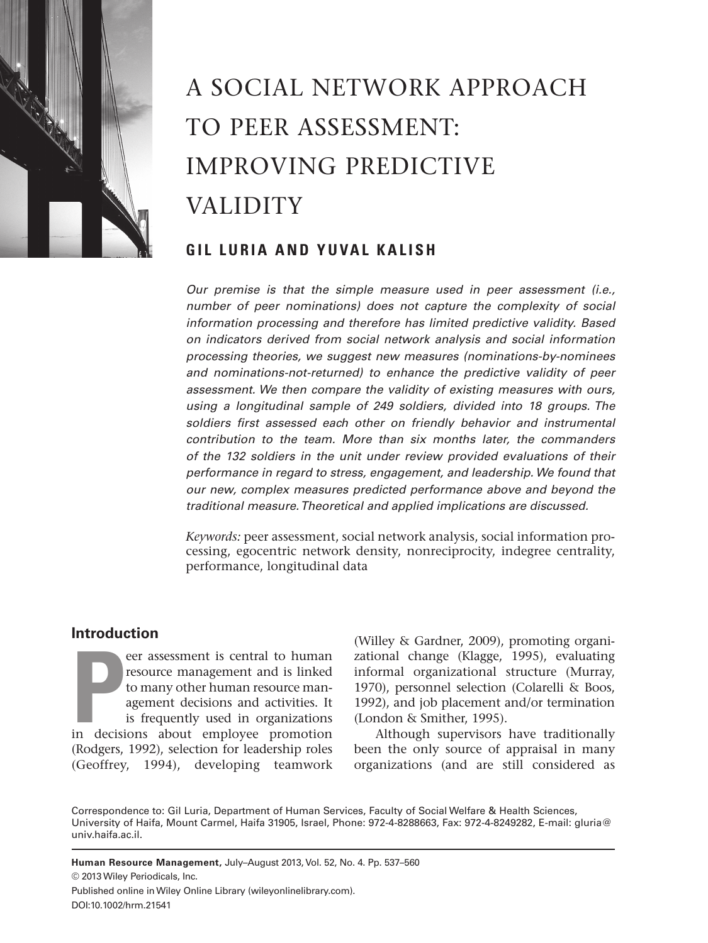

# A SOCIAL NETWORK APPROACH TO PEER ASSESSMENT: IMPROVING PREDICTIVE VALIDITY

# **GIL LURIA AND YUVAL KALISH**

Our premise is that the simple measure used in peer assessment (i.e., number of peer nominations) does not capture the complexity of social information processing and therefore has limited predictive validity. Based on indicators derived from social network analysis and social information processing theories, we suggest new measures (nominations-by-nominees and nominations-not-returned) to enhance the predictive validity of peer assessment. We then compare the validity of existing measures with ours, using a longitudinal sample of 249 soldiers, divided into 18 groups. The soldiers first assessed each other on friendly behavior and instrumental contribution to the team. More than six months later, the commanders of the 132 soldiers in the unit under review provided evaluations of their performance in regard to stress, engagement, and leadership. We found that our new, complex measures predicted performance above and beyond the traditional measure. Theoretical and applied implications are discussed.

*Keywords:* peer assessment, social network analysis, social information processing, egocentric network density, nonreciprocity, indegree centrality, performance, longitudinal data

#### **Introduction**

**PERISTER 18 EXECUTE IS CONTROLLED ABOVE AND THE CONSEQUENCE IS A DETERMINENT AND APPEAR OF A DISPONENT AND A SERVICE IS A DISPONENT AND A DISPONENT AND A SERVICE IS A DISPONENT AND A SERVICE IS A DISPONENT AND A DISPONENT** eer assessment is central to human resource management and is linked to many other human resource management decisions and activities. It is frequently used in organizations (Rodgers, 1992), selection for leadership roles (Geoffrey, 1994), developing teamwork

(Willey & Gardner, 2009), promoting organizational change (Klagge, 1995), evaluating informal organizational structure (Murray, 1970), personnel selection (Colarelli & Boos, 1992), and job placement and/or termination (London & Smither, 1995).

Although supervisors have traditionally been the only source of appraisal in many organizations (and are still considered as

Correspondence to: Gil Luria, Department of Human Services, Faculty of Social Welfare & Health Sciences, University of Haifa, Mount Carmel, Haifa 31905, Israel, Phone: 972-4-8288663, Fax: 972-4-8249282, E-mail: gluria@ univ.haifa.ac.il.

**Human Resource Management,** July–August 2013, Vol. 52, No. 4. Pp. 537–560 © 2013 Wiley Periodicals, Inc. Published online in Wiley Online Library (wileyonlinelibrary.com). DOI:10.1002/hrm.21541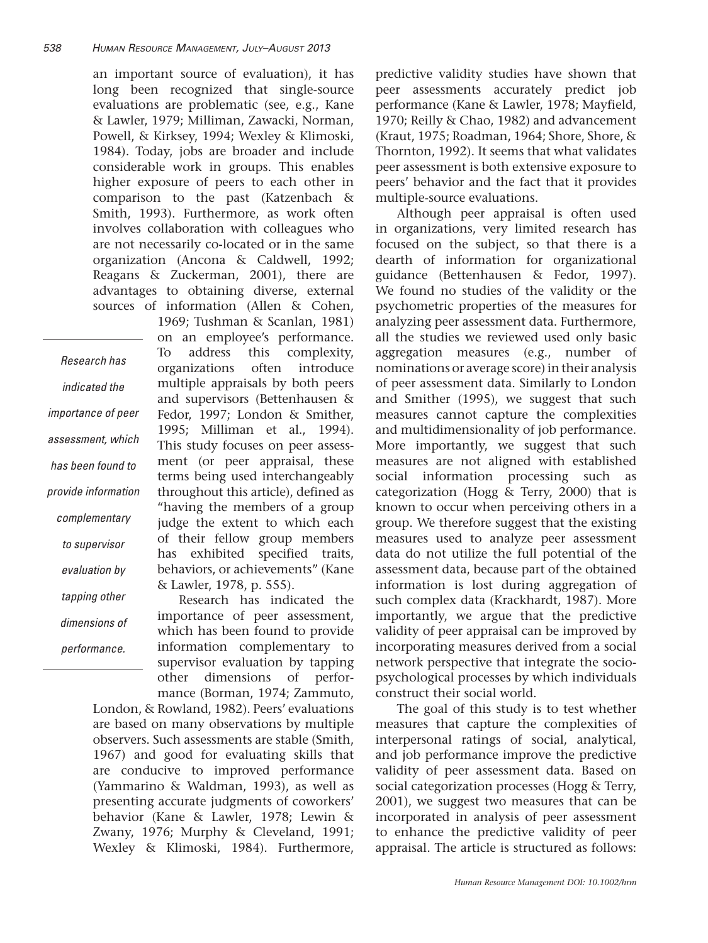an important source of evaluation), it has long been recognized that single-source evaluations are problematic (see, e.g., Kane & Lawler, 1979; Milliman, Zawacki, Norman, Powell, & Kirksey, 1994; Wexley & Klimoski, 1984). Today, jobs are broader and include considerable work in groups. This enables higher exposure of peers to each other in comparison to the past (Katzenbach & Smith, 1993). Furthermore, as work often involves collaboration with colleagues who are not necessarily co-located or in the same organization (Ancona & Caldwell, 1992; Reagans & Zuckerman, 2001), there are advantages to obtaining diverse, external sources of information (Allen & Cohen,

Research has indicated the importance of peer assessment, which has been found to provide information complementary to supervisor evaluation by tapping other dimensions of performance.

1969; Tushman & Scanlan, 1981) on an employee's performance. To address this complexity, organizations often introduce multiple appraisals by both peers and supervisors (Bettenhausen & Fedor, 1997; London & Smither, 1995; Milliman et al., 1994). This study focuses on peer assessment (or peer appraisal, these terms being used interchangeably throughout this article), defined as "having the members of a group judge the extent to which each of their fellow group members has exhibited specified traits, behaviors, or achievements" (Kane & Lawler, 1978, p. 555).

Research has indicated the importance of peer assessment, which has been found to provide information complementary to supervisor evaluation by tapping other dimensions of performance (Borman, 1974; Zammuto,

London, & Rowland, 1982). Peers' evaluations are based on many observations by multiple observers. Such assessments are stable (Smith, 1967) and good for evaluating skills that are conducive to improved performance (Yammarino & Waldman, 1993), as well as presenting accurate judgments of coworkers' behavior (Kane & Lawler, 1978; Lewin & Zwany, 1976; Murphy & Cleveland, 1991; Wexley & Klimoski, 1984). Furthermore,

predictive validity studies have shown that peer assessments accurately predict job performance (Kane & Lawler, 1978; Mayfield, 1970; Reilly & Chao, 1982) and advancement (Kraut, 1975; Roadman, 1964; Shore, Shore, & Thornton, 1992). It seems that what validates peer assessment is both extensive exposure to peers' behavior and the fact that it provides multiple-source evaluations.

Although peer appraisal is often used in organizations, very limited research has focused on the subject, so that there is a dearth of information for organizational guidance (Bettenhausen & Fedor, 1997). We found no studies of the validity or the psychometric properties of the measures for analyzing peer assessment data. Furthermore, all the studies we reviewed used only basic aggregation measures (e.g., number of nominations or average score) in their analysis of peer assessment data. Similarly to London and Smither (1995), we suggest that such measures cannot capture the complexities and multidimensionality of job performance. More importantly, we suggest that such measures are not aligned with established social information processing such as categorization (Hogg & Terry, 2000) that is known to occur when perceiving others in a group. We therefore suggest that the existing measures used to analyze peer assessment data do not utilize the full potential of the assessment data, because part of the obtained information is lost during aggregation of such complex data (Krackhardt, 1987). More importantly, we argue that the predictive validity of peer appraisal can be improved by incorporating measures derived from a social network perspective that integrate the sociopsychological processes by which individuals construct their social world.

The goal of this study is to test whether measures that capture the complexities of interpersonal ratings of social, analytical, and job performance improve the predictive validity of peer assessment data. Based on social categorization processes (Hogg & Terry, 2001), we suggest two measures that can be incorporated in analysis of peer assessment to enhance the predictive validity of peer appraisal. The article is structured as follows: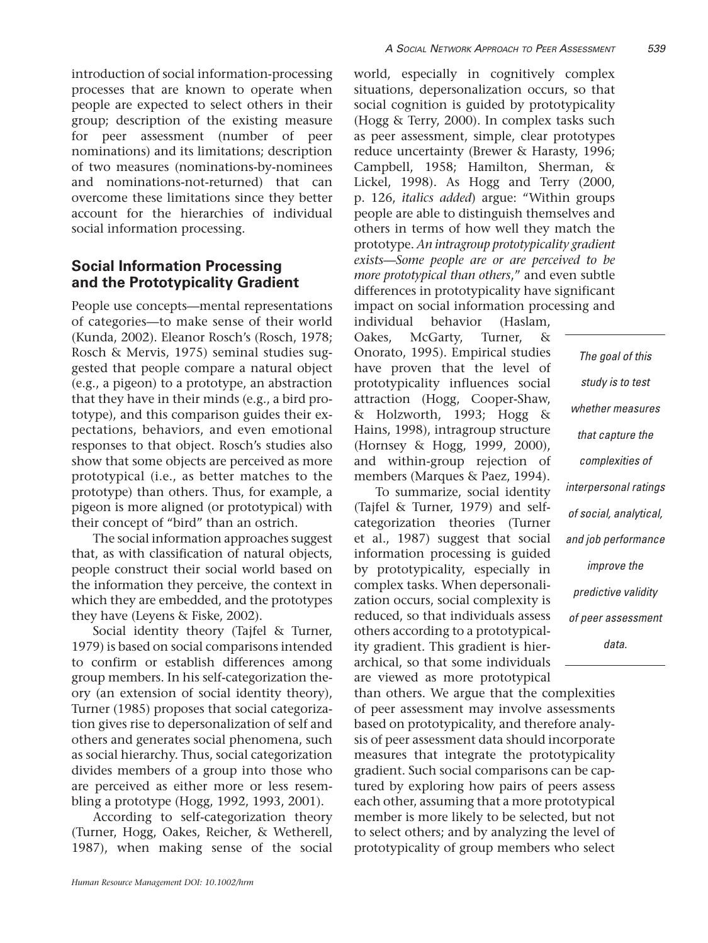introduction of social information-processing processes that are known to operate when people are expected to select others in their group; description of the existing measure for peer assessment (number of peer nominations) and its limitations; description of two measures (nominations-by-nominees and nominations-not-returned) that can overcome these limitations since they better account for the hierarchies of individual social information processing.

#### **Social Information Processing and the Prototypicality Gradient**

People use concepts—mental representations of categories—to make sense of their world (Kunda, 2002). Eleanor Rosch's (Rosch, 1978; Rosch & Mervis, 1975) seminal studies suggested that people compare a natural object (e.g., a pigeon) to a prototype, an abstraction that they have in their minds (e.g., a bird prototype), and this comparison guides their expectations, behaviors, and even emotional responses to that object. Rosch's studies also show that some objects are perceived as more prototypical (i.e., as better matches to the prototype) than others. Thus, for example, a pigeon is more aligned (or prototypical) with their concept of "bird" than an ostrich.

The social information approaches suggest that, as with classification of natural objects, people construct their social world based on the information they perceive, the context in which they are embedded, and the prototypes they have (Leyens & Fiske, 2002).

Social identity theory (Tajfel & Turner, 1979) is based on social comparisons intended to confirm or establish differences among group members. In his self-categorization theory (an extension of social identity theory), Turner (1985) proposes that social categorization gives rise to depersonalization of self and others and generates social phenomena, such as social hierarchy. Thus, social categorization divides members of a group into those who are perceived as either more or less resembling a prototype (Hogg, 1992, 1993, 2001).

According to self-categorization theory (Turner, Hogg, Oakes, Reicher, & Wetherell, 1987), when making sense of the social world, especially in cognitively complex situations, depersonalization occurs, so that social cognition is guided by prototypicality (Hogg & Terry, 2000). In complex tasks such as peer assessment, simple, clear prototypes reduce uncertainty (Brewer & Harasty, 1996; Campbell, 1958; Hamilton, Sherman, & Lickel, 1998). As Hogg and Terry (2000, p. 126, *italics added*) argue: "Within groups people are able to distinguish themselves and others in terms of how well they match the prototype. *An intragroup prototypicality gradient exists—Some people are or are perceived to be more prototypical than others*," and even subtle differences in prototypicality have significant impact on social information processing and

individual behavior (Haslam, Oakes, McGarty, Turner, & Onorato, 1995). Empirical studies have proven that the level of prototypicality influences social attraction (Hogg, Cooper-Shaw, & Holzworth, 1993; Hogg & Hains, 1998), intragroup structure (Hornsey & Hogg, 1999, 2000), and within-group rejection of members (Marques & Paez, 1994).

To summarize, social identity (Tajfel & Turner, 1979) and selfcategorization theories (Turner et al., 1987) suggest that social information processing is guided by prototypicality, especially in complex tasks. When depersonalization occurs, social complexity is reduced, so that individuals assess others according to a prototypicality gradient. This gradient is hierarchical, so that some individuals are viewed as more prototypical

than others. We argue that the complexities of peer assessment may involve assessments based on prototypicality, and therefore analysis of peer assessment data should incorporate measures that integrate the prototypicality gradient. Such social comparisons can be captured by exploring how pairs of peers assess each other, assuming that a more prototypical member is more likely to be selected, but not to select others; and by analyzing the level of prototypicality of group members who select

The goal of this study is to test whether measures that capture the complexities of interpersonal ratings of social, analytical, and job performance improve the predictive validity of peer assessment data.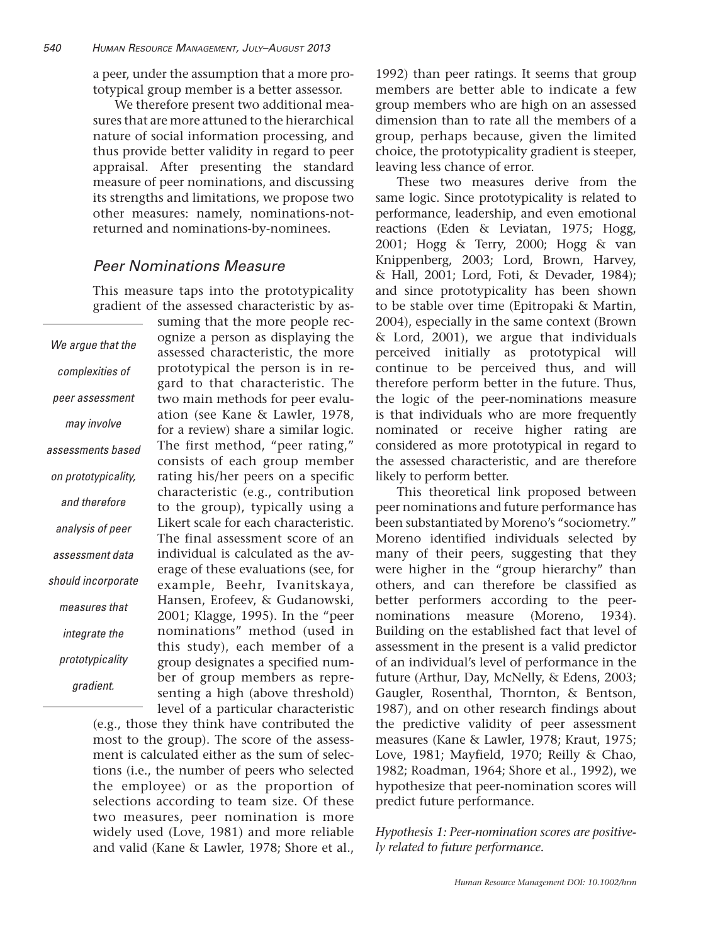a peer, under the assumption that a more prototypical group member is a better assessor.

We therefore present two additional measures that are more attuned to the hierarchical nature of social information processing, and thus provide better validity in regard to peer appraisal. After presenting the standard measure of peer nominations, and discussing its strengths and limitations, we propose two other measures: namely, nominations-notreturned and nominations-by-nominees.

# Peer Nominations Measure

This measure taps into the prototypicality gradient of the assessed characteristic by as-

We argue that the complexities of peer assessment may involve assessments based on prototypicality, and therefore analysis of peer assessment data should incorporate measures that integrate the prototypicality gradient.

suming that the more people recognize a person as displaying the assessed characteristic, the more prototypical the person is in regard to that characteristic. The two main methods for peer evaluation (see Kane & Lawler, 1978, for a review) share a similar logic. The first method, "peer rating," consists of each group member rating his/her peers on a specific characteristic (e.g., contribution to the group), typically using a Likert scale for each characteristic. The final assessment score of an individual is calculated as the average of these evaluations (see, for example, Beehr, Ivanitskaya, Hansen, Erofeev, & Gudanowski, 2001; Klagge, 1995). In the "peer nominations" method (used in this study), each member of a group designates a specified number of group members as representing a high (above threshold) level of a particular characteristic

(e.g., those they think have contributed the most to the group). The score of the assessment is calculated either as the sum of selections (i.e., the number of peers who selected the employee) or as the proportion of selections according to team size. Of these two measures, peer nomination is more widely used (Love, 1981) and more reliable and valid (Kane & Lawler, 1978; Shore et al.,

1992) than peer ratings. It seems that group members are better able to indicate a few group members who are high on an assessed dimension than to rate all the members of a group, perhaps because, given the limited choice, the prototypicality gradient is steeper, leaving less chance of error.

These two measures derive from the same logic. Since prototypicality is related to performance, leadership, and even emotional reactions (Eden & Leviatan, 1975; Hogg, 2001; Hogg & Terry, 2000; Hogg & van Knippenberg, 2003; Lord, Brown, Harvey, & Hall, 2001; Lord, Foti, & Devader, 1984); and since prototypicality has been shown to be stable over time (Epitropaki & Martin, 2004), especially in the same context (Brown & Lord, 2001), we argue that individuals perceived initially as prototypical will continue to be perceived thus, and will therefore perform better in the future. Thus, the logic of the peer-nominations measure is that individuals who are more frequently nominated or receive higher rating are considered as more prototypical in regard to the assessed characteristic, and are therefore likely to perform better.

This theoretical link proposed between peer nominations and future performance has been substantiated by Moreno's "sociometry." Moreno identified individuals selected by many of their peers, suggesting that they were higher in the "group hierarchy" than others, and can therefore be classified as better performers according to the peernominations measure (Moreno, 1934). Building on the established fact that level of assessment in the present is a valid predictor of an individual's level of performance in the future (Arthur, Day, McNelly, & Edens, 2003; Gaugler, Rosenthal, Thornton, & Bentson, 1987), and on other research findings about the predictive validity of peer assessment measures (Kane & Lawler, 1978; Kraut, 1975; Love, 1981; Mayfield, 1970; Reilly & Chao, 1982; Roadman, 1964; Shore et al., 1992), we hypothesize that peer-nomination scores will predict future performance.

*Hypothesis 1: Peer-nomination scores are positively related to future performance.*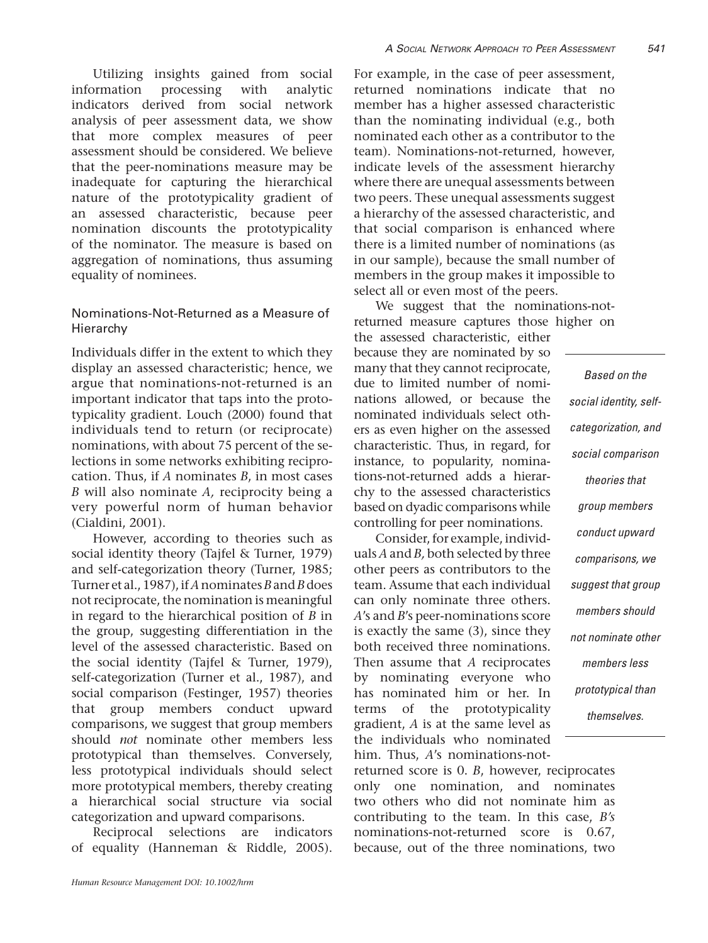Utilizing insights gained from social information processing with analytic indicators derived from social network analysis of peer assessment data, we show that more complex measures of peer assessment should be considered. We believe that the peer-nominations measure may be inadequate for capturing the hierarchical nature of the prototypicality gradient of an assessed characteristic, because peer nomination discounts the prototypicality of the nominator. The measure is based on aggregation of nominations, thus assuming equality of nominees.

#### Nominations-Not-Returned as a Measure of Hierarchy

Individuals differ in the extent to which they display an assessed characteristic; hence, we argue that nominations-not-returned is an important indicator that taps into the prototypicality gradient. Louch (2000) found that individuals tend to return (or reciprocate) nominations, with about 75 percent of the selections in some networks exhibiting reciprocation. Thus, if *A* nominates *B*, in most cases *B* will also nominate *A,* reciprocity being a very powerful norm of human behavior (Cialdini, 2001).

However, according to theories such as social identity theory (Tajfel & Turner, 1979) and self-categorization theory (Turner, 1985; Turner et al., 1987), if *A* nominates *B* and *B* does not reciprocate, the nomination is meaningful in regard to the hierarchical position of *B* in the group, suggesting differentiation in the level of the assessed characteristic. Based on the social identity (Tajfel & Turner, 1979), self-categorization (Turner et al., 1987), and social comparison (Festinger, 1957) theories that group members conduct upward comparisons, we suggest that group members should *not* nominate other members less prototypical than themselves. Conversely, less prototypical individuals should select more prototypical members, thereby creating a hierarchical social structure via social categorization and upward comparisons.

Reciprocal selections are indicators of equality (Hanneman & Riddle, 2005).

For example, in the case of peer assessment, returned nominations indicate that no member has a higher assessed characteristic than the nominating individual (e.g., both nominated each other as a contributor to the team). Nominations-not-returned, however, indicate levels of the assessment hierarchy where there are unequal assessments between two peers. These unequal assessments suggest a hierarchy of the assessed characteristic, and that social comparison is enhanced where there is a limited number of nominations (as in our sample), because the small number of members in the group makes it impossible to select all or even most of the peers.

We suggest that the nominations-notreturned measure captures those higher on the assessed characteristic, either because they are nominated by so many that they cannot reciprocate, due to limited number of nominations allowed, or because the nominated individuals select others as even higher on the assessed characteristic. Thus, in regard, for instance, to popularity, nominations-not-returned adds a hierarchy to the assessed characteristics based on dyadic comparisons while controlling for peer nominations.

Consider, for example, individuals *A* and *B,* both selected by three other peers as contributors to the team. Assume that each individual can only nominate three others. *A*'s and *B*'s peer-nominations score is exactly the same (3), since they both received three nominations. Then assume that *A* reciprocates by nominating everyone who has nominated him or her. In terms of the prototypicality gradient, *A* is at the same level as the individuals who nominated him. Thus, *A*'s nominations-not-

Based on the social identity, selfcategorization, and social comparison theories that group members conduct upward comparisons, we suggest that group members should not nominate other members less prototypical than themselves.

returned score is 0. *B*, however, reciprocates only one nomination, and nominates two others who did not nominate him as contributing to the team. In this case, *B's*  nominations-not-returned score is 0.67, because, out of the three nominations, two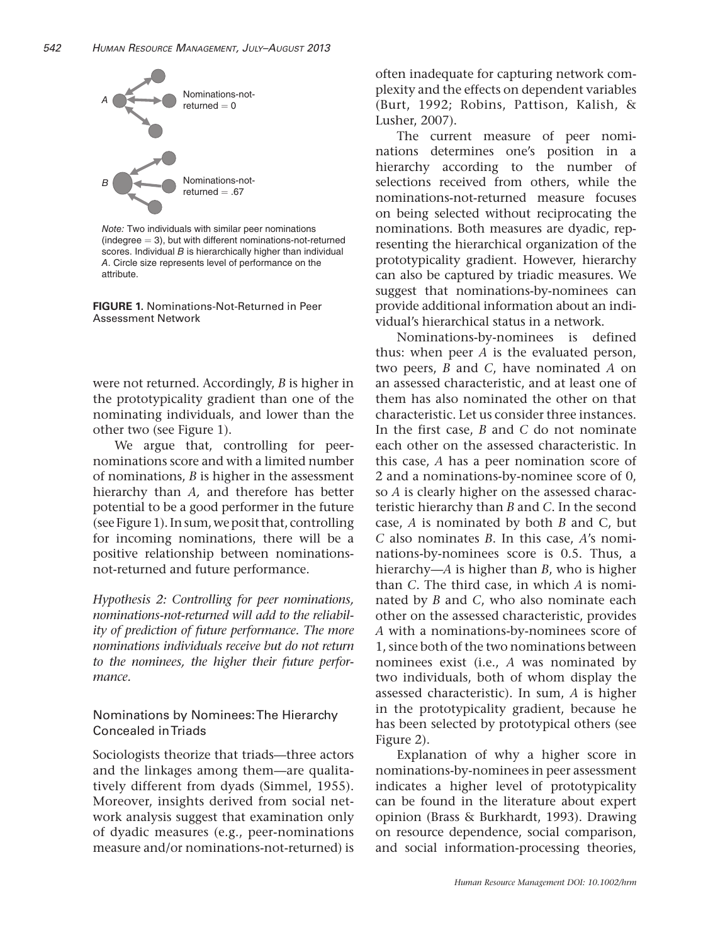

*Note:* Two individuals with similar peer nominations  $($ indegree  $= 3)$ , but with different nominations-not-returned scores. Individual *B* is hierarchically higher than individual *A*. Circle size represents level of performance on the attribute.

**FIGURE 1.** Nominations-Not-Returned in Peer Assessment Network

were not returned. Accordingly, *B* is higher in the prototypicality gradient than one of the nominating individuals, and lower than the other two (see Figure 1).

We argue that, controlling for peernominations score and with a limited number of nominations, *B* is higher in the assessment hierarchy than *A,* and therefore has better potential to be a good performer in the future (see Figure 1). In sum, we posit that, controlling for incoming nominations, there will be a positive relationship between nominationsnot-returned and future performance.

*Hypothesis 2: Controlling for peer nominations, nominations-not-returned will add to the reliability of prediction of future performance. The more nominations individuals receive but do not return to the nominees, the higher their future performance.* 

#### Nominations by Nominees: The Hierarchy Concealed in Triads

Sociologists theorize that triads—three actors and the linkages among them—are qualitatively different from dyads (Simmel, 1955). Moreover, insights derived from social network analysis suggest that examination only of dyadic measures (e.g., peer-nominations measure and/or nominations-not-returned) is

often inadequate for capturing network complexity and the effects on dependent variables (Burt, 1992; Robins, Pattison, Kalish, & Lusher, 2007).

The current measure of peer nominations determines one's position in a hierarchy according to the number of selections received from others, while the nominations-not-returned measure focuses on being selected without reciprocating the nominations. Both measures are dyadic, representing the hierarchical organization of the prototypicality gradient. However, hierarchy can also be captured by triadic measures. We suggest that nominations-by-nominees can provide additional information about an individual's hierarchical status in a network.

Nominations-by-nominees is defined thus: when peer *A* is the evaluated person, two peers, *B* and *C*, have nominated *A* on an assessed characteristic, and at least one of them has also nominated the other on that characteristic. Let us consider three instances. In the first case, *B* and *C* do not nominate each other on the assessed characteristic. In this case, *A* has a peer nomination score of 2 and a nominations-by-nominee score of 0, so *A* is clearly higher on the assessed characteristic hierarchy than *B* and *C*. In the second case, *A* is nominated by both *B* and C, but *C* also nominates *B*. In this case, *A*'s nominations-by-nominees score is 0.5. Thus, a hierarchy—*A* is higher than *B*, who is higher than *C*. The third case, in which *A* is nominated by *B* and *C*, who also nominate each other on the assessed characteristic, provides *A* with a nominations-by-nominees score of 1, since both of the two nominations between nominees exist (i.e., *A* was nominated by two individuals, both of whom display the assessed characteristic). In sum, *A* is higher in the prototypicality gradient, because he has been selected by prototypical others (see Figure 2).

Explanation of why a higher score in nominations-by-nominees in peer assessment indicates a higher level of prototypicality can be found in the literature about expert opinion (Brass & Burkhardt, 1993). Drawing on resource dependence, social comparison, and social information-processing theories,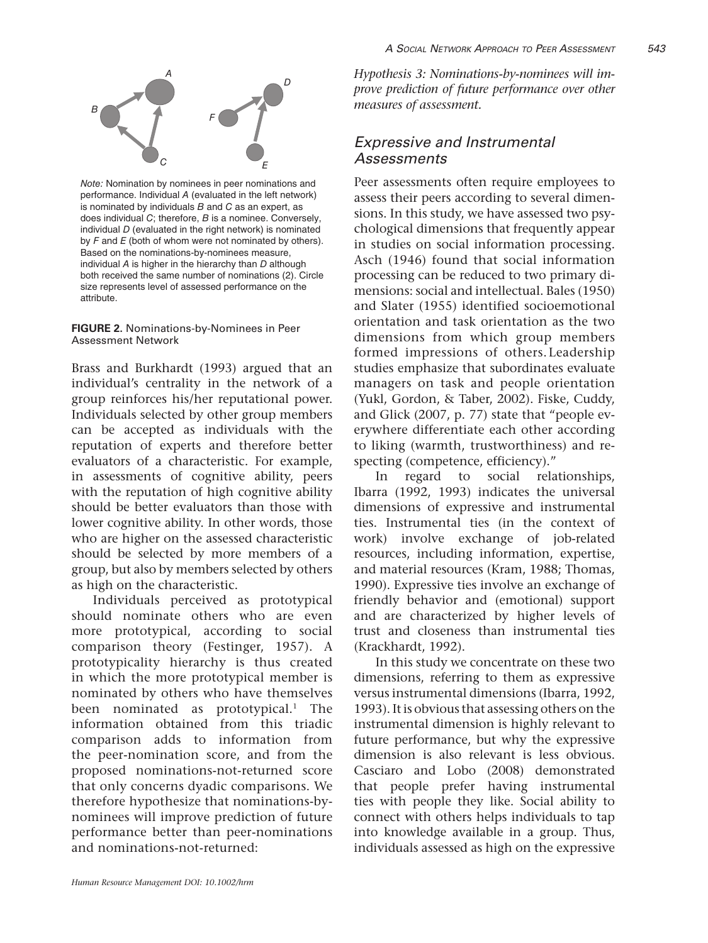

*Note:* Nomination by nominees in peer nominations and performance. Individual *A* (evaluated in the left network) is nominated by individuals *B* and *C* as an expert, as does individual *C*; therefore, *B* is a nominee. Conversely, individual *D* (evaluated in the right network) is nominated by *F* and *E* (both of whom were not nominated by others). Based on the nominations-by-nominees measure, individual *A* is higher in the hierarchy than *D* although both received the same number of nominations (2). Circle size represents level of assessed performance on the attribute.

#### **FIGURE 2.** Nominations-by-Nominees in Peer Assessment Network

Brass and Burkhardt (1993) argued that an individual's centrality in the network of a group reinforces his/her reputational power. Individuals selected by other group members can be accepted as individuals with the reputation of experts and therefore better evaluators of a characteristic. For example, in assessments of cognitive ability, peers with the reputation of high cognitive ability should be better evaluators than those with lower cognitive ability. In other words, those who are higher on the assessed characteristic should be selected by more members of a group, but also by members selected by others as high on the characteristic.

Individuals perceived as prototypical should nominate others who are even more prototypical, according to social comparison theory (Festinger, 1957). A prototypicality hierarchy is thus created in which the more prototypical member is nominated by others who have themselves been nominated as prototypical.<sup>1</sup> The information obtained from this triadic comparison adds to information from the peer-nomination score, and from the proposed nominations-not-returned score that only concerns dyadic comparisons. We therefore hypothesize that nominations-bynominees will improve prediction of future performance better than peer-nominations and nominations-not-returned:

*Hypothesis 3: Nominations-by-nominees will improve prediction of future performance over other measures of assessment.* 

#### Expressive and Instrumental **Assessments**

Peer assessments often require employees to assess their peers according to several dimensions. In this study, we have assessed two psychological dimensions that frequently appear in studies on social information processing. Asch (1946) found that social information processing can be reduced to two primary dimensions: social and intellectual. Bales (1950) and Slater (1955) identified socioemotional orientation and task orientation as the two dimensions from which group members formed impressions of others. Leadership studies emphasize that subordinates evaluate managers on task and people orientation (Yukl, Gordon, & Taber, 2002). Fiske, Cuddy, and Glick (2007, p. 77) state that "people everywhere differentiate each other according to liking (warmth, trustworthiness) and respecting (competence, efficiency)."

In regard to social relationships, Ibarra (1992, 1993) indicates the universal dimensions of expressive and instrumental ties. Instrumental ties (in the context of work) involve exchange of job-related resources, including information, expertise, and material resources (Kram, 1988; Thomas, 1990). Expressive ties involve an exchange of friendly behavior and (emotional) support and are characterized by higher levels of trust and closeness than instrumental ties (Krackhardt, 1992).

In this study we concentrate on these two dimensions, referring to them as expressive versus instrumental dimensions (Ibarra, 1992, 1993). It is obvious that assessing others on the instrumental dimension is highly relevant to future performance, but why the expressive dimension is also relevant is less obvious. Casciaro and Lobo (2008) demonstrated that people prefer having instrumental ties with people they like. Social ability to connect with others helps individuals to tap into knowledge available in a group. Thus, individuals assessed as high on the expressive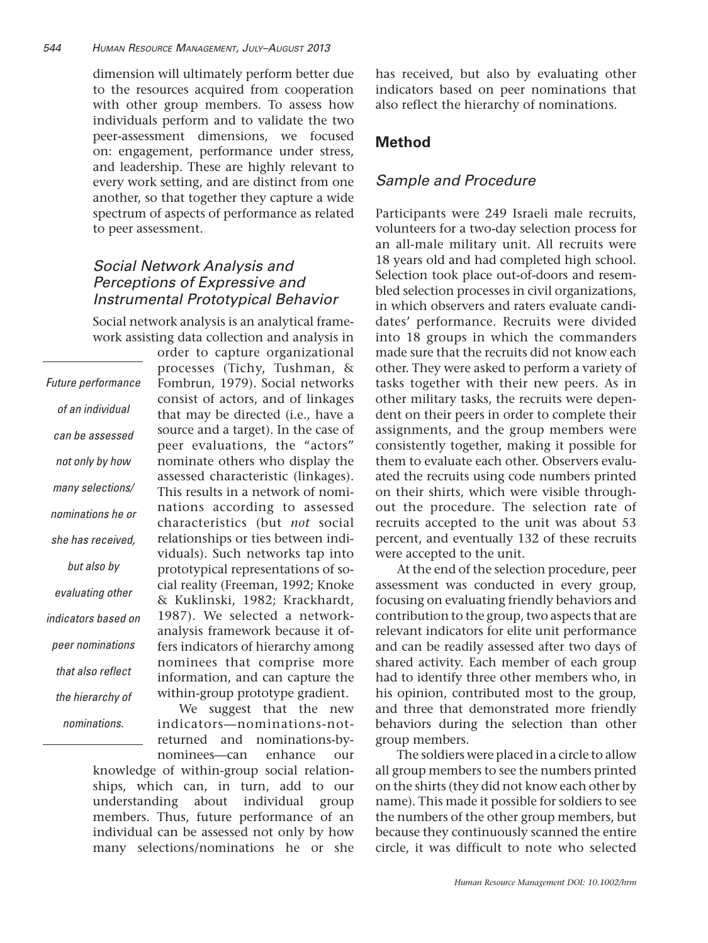dimension will ultimately perform better due to the resources acquired from cooperation with other group members. To assess how individuals perform and to validate the two peer-assessment dimensions, we focused on: engagement, performance under stress, and leadership. These are highly relevant to every work setting, and are distinct from one another, so that together they capture a wide spectrum of aspects of performance as related to peer assessment.

# Social Network Analysis and Perceptions of Expressive and Instrumental Prototypical Behavior

Social network analysis is an analytical framework assisting data collection and analysis in

Future performance of an individual can be assessed not only by how many selections/ nominations he or she has received, but also by evaluating other indicators based on peer nominations that also reflect the hierarchy of nominations.

order to capture organizational processes (Tichy, Tushman, & Fombrun, 1979). Social networks consist of actors, and of linkages that may be directed (i.e., have a source and a target). In the case of peer evaluations, the "actors" nominate others who display the assessed characteristic (linkages). This results in a network of nominations according to assessed characteristics (but *not* social relationships or ties between individuals). Such networks tap into prototypical representations of social reality (Freeman, 1992; Knoke & Kuklinski, 1982; Krackhardt, 1987). We selected a networkanalysis framework because it offers indicators of hierarchy among nominees that comprise more information, and can capture the within-group prototype gradient.

We suggest that the new indicators—nominations-notreturned and nominations-bynominees—can enhance our

knowledge of within-group social relationships, which can, in turn, add to our understanding about individual group members. Thus, future performance of an individual can be assessed not only by how many selections/nominations he or she has received, but also by evaluating other indicators based on peer nominations that also reflect the hierarchy of nominations.

# **Method**

# Sample and Procedure

Participants were 249 Israeli male recruits, volunteers for a two-day selection process for an all-male military unit. All recruits were 18 years old and had completed high school. Selection took place out-of-doors and resembled selection processes in civil organizations, in which observers and raters evaluate candidates' performance. Recruits were divided into 18 groups in which the commanders made sure that the recruits did not know each other. They were asked to perform a variety of tasks together with their new peers. As in other military tasks, the recruits were dependent on their peers in order to complete their assignments, and the group members were consistently together, making it possible for them to evaluate each other. Observers evaluated the recruits using code numbers printed on their shirts, which were visible throughout the procedure. The selection rate of recruits accepted to the unit was about 53 percent, and eventually 132 of these recruits were accepted to the unit.

At the end of the selection procedure, peer assessment was conducted in every group, focusing on evaluating friendly behaviors and contribution to the group, two aspects that are relevant indicators for elite unit performance and can be readily assessed after two days of shared activity. Each member of each group had to identify three other members who, in his opinion, contributed most to the group, and three that demonstrated more friendly behaviors during the selection than other group members.

The soldiers were placed in a circle to allow all group members to see the numbers printed on the shirts (they did not know each other by name). This made it possible for soldiers to see the numbers of the other group members, but because they continuously scanned the entire circle, it was difficult to note who selected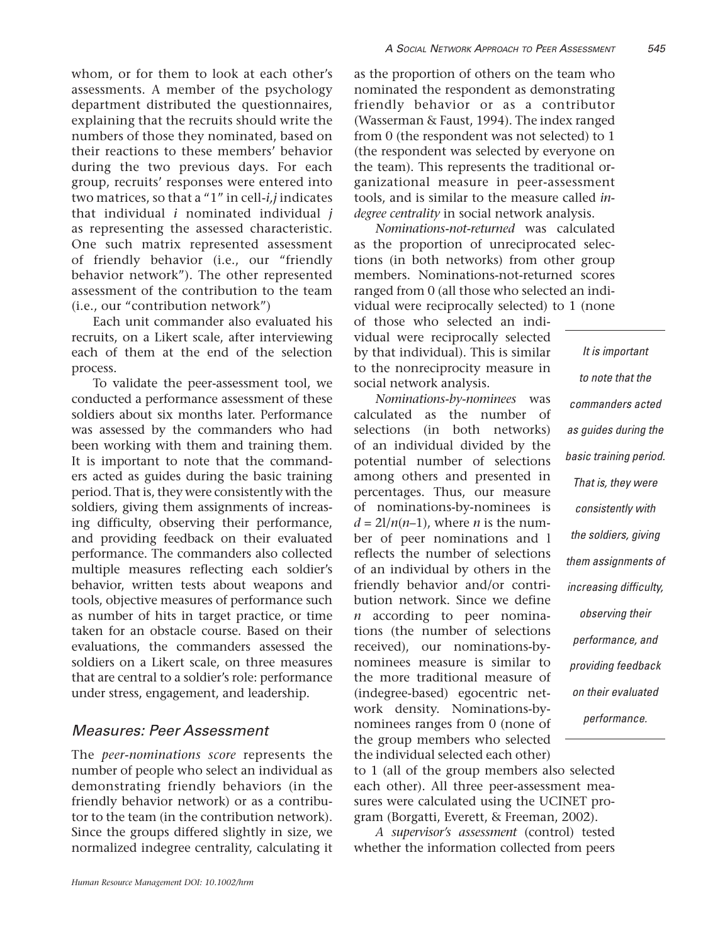whom, or for them to look at each other's assessments. A member of the psychology department distributed the questionnaires, explaining that the recruits should write the numbers of those they nominated, based on their reactions to these members' behavior during the two previous days. For each group, recruits' responses were entered into two matrices, so that a "1" in cell-*i,j* indicates that individual *i* nominated individual *j*  as representing the assessed characteristic. One such matrix represented assessment of friendly behavior (i.e., our "friendly behavior network"). The other represented assessment of the contribution to the team (i.e., our "contribution network")

Each unit commander also evaluated his recruits, on a Likert scale, after interviewing each of them at the end of the selection process.

To validate the peer-assessment tool, we conducted a performance assessment of these soldiers about six months later. Performance was assessed by the commanders who had been working with them and training them. It is important to note that the commanders acted as guides during the basic training period. That is, they were consistently with the soldiers, giving them assignments of increasing difficulty, observing their performance, and providing feedback on their evaluated performance. The commanders also collected multiple measures reflecting each soldier's behavior, written tests about weapons and tools, objective measures of performance such as number of hits in target practice, or time taken for an obstacle course. Based on their evaluations, the commanders assessed the soldiers on a Likert scale, on three measures that are central to a soldier's role: performance under stress, engagement, and leadership.

#### Measures: Peer Assessment

The *peer-nominations score* represents the number of people who select an individual as demonstrating friendly behaviors (in the friendly behavior network) or as a contributor to the team (in the contribution network). Since the groups differed slightly in size, we normalized indegree centrality, calculating it as the proportion of others on the team who nominated the respondent as demonstrating friendly behavior or as a contributor (Wasserman & Faust, 1994). The index ranged from 0 (the respondent was not selected) to 1 (the respondent was selected by everyone on the team). This represents the traditional organizational measure in peer-assessment tools, and is similar to the measure called *indegree centrality* in social network analysis.

*Nominations-not-returned* was calculated as the proportion of unreciprocated selections (in both networks) from other group members. Nominations-not-returned scores ranged from 0 (all those who selected an individual were reciprocally selected) to 1 (none

of those who selected an individual were reciprocally selected by that individual). This is similar to the nonreciprocity measure in social network analysis.

*Nominations-by-nominees* was calculated as the number of selections (in both networks) of an individual divided by the potential number of selections among others and presented in percentages. Thus, our measure of nominations-by-nominees is  $d = 2l/n(n-1)$ , where *n* is the number of peer nominations and l reflects the number of selections of an individual by others in the friendly behavior and/or contribution network. Since we define *n* according to peer nominations (the number of selections received), our nominations-bynominees measure is similar to the more traditional measure of (indegree-based) egocentric network density. Nominations-bynominees ranges from 0 (none of the group members who selected the individual selected each other)

It is important to note that the commanders acted as guides during the basic training period. That is, they were consistently with the soldiers, giving them assignments of increasing difficulty, observing their performance, and providing feedback on their evaluated performance.

to 1 (all of the group members also selected each other). All three peer-assessment measures were calculated using the UCINET program (Borgatti, Everett, & Freeman, 2002).

*A supervisor's assessment* (control) tested whether the information collected from peers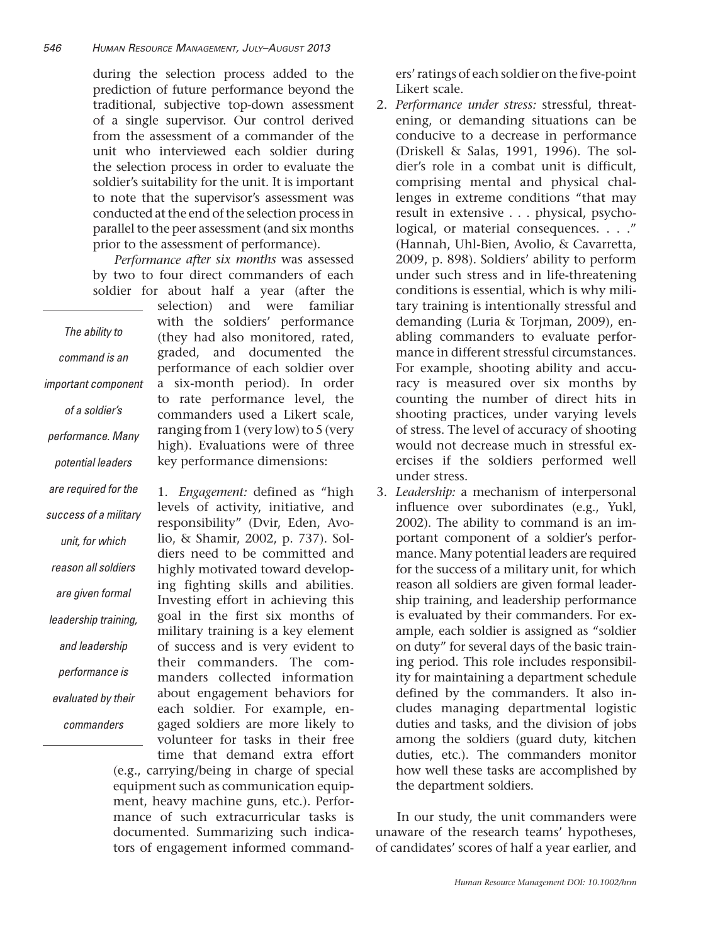during the selection process added to the prediction of future performance beyond the traditional, subjective top-down assessment of a single supervisor. Our control derived from the assessment of a commander of the unit who interviewed each soldier during the selection process in order to evaluate the soldier's suitability for the unit. It is important to note that the supervisor's assessment was conducted at the end of the selection process in parallel to the peer assessment (and six months prior to the assessment of performance).

*Performance after six months* was assessed by two to four direct commanders of each soldier for about half a year (after the

The ability to command is an important component of a soldier's performance. Many potential leaders are required for the success of a military unit, for which reason all soldiers are given formal leadership training, and leadership performance is evaluated by their commanders

selection) and were familiar with the soldiers' performance (they had also monitored, rated, graded, and documented the performance of each soldier over a six-month period). In order to rate performance level, the commanders used a Likert scale, ranging from 1 (very low) to 5 (very high). Evaluations were of three key performance dimensions:

1. *Engagement:* defined as "high levels of activity, initiative, and responsibility" (Dvir, Eden, Avolio, & Shamir, 2002, p. 737). Soldiers need to be committed and highly motivated toward developing fighting skills and abilities. Investing effort in achieving this goal in the first six months of military training is a key element of success and is very evident to their commanders. The commanders collected information about engagement behaviors for each soldier. For example, engaged soldiers are more likely to volunteer for tasks in their free time that demand extra effort

(e.g., carrying/being in charge of special equipment such as communication equipment, heavy machine guns, etc.). Performance of such extracurricular tasks is documented. Summarizing such indicators of engagement informed commanders' ratings of each soldier on the five-point Likert scale.

- 2. *Performance under stress:* stressful, threatening, or demanding situations can be conducive to a decrease in performance (Driskell & Salas, 1991, 1996). The soldier's role in a combat unit is difficult, comprising mental and physical challenges in extreme conditions "that may result in extensive . . . physical, psychological, or material consequences. . . ." (Hannah, Uhl-Bien, Avolio, & Cavarretta, 2009, p. 898). Soldiers' ability to perform under such stress and in life-threatening conditions is essential, which is why military training is intentionally stressful and demanding (Luria & Torjman, 2009), enabling commanders to evaluate performance in different stressful circumstances. For example, shooting ability and accuracy is measured over six months by counting the number of direct hits in shooting practices, under varying levels of stress. The level of accuracy of shooting would not decrease much in stressful exercises if the soldiers performed well under stress.
- 3. *Leadership:* a mechanism of interpersonal influence over subordinates (e.g., Yukl, 2002). The ability to command is an important component of a soldier's performance. Many potential leaders are required for the success of a military unit, for which reason all soldiers are given formal leadership training, and leadership performance is evaluated by their commanders. For example, each soldier is assigned as "soldier on duty" for several days of the basic training period. This role includes responsibility for maintaining a department schedule defined by the commanders. It also includes managing departmental logistic duties and tasks, and the division of jobs among the soldiers (guard duty, kitchen duties, etc.). The commanders monitor how well these tasks are accomplished by the department soldiers.

In our study, the unit commanders were unaware of the research teams' hypotheses, of candidates' scores of half a year earlier, and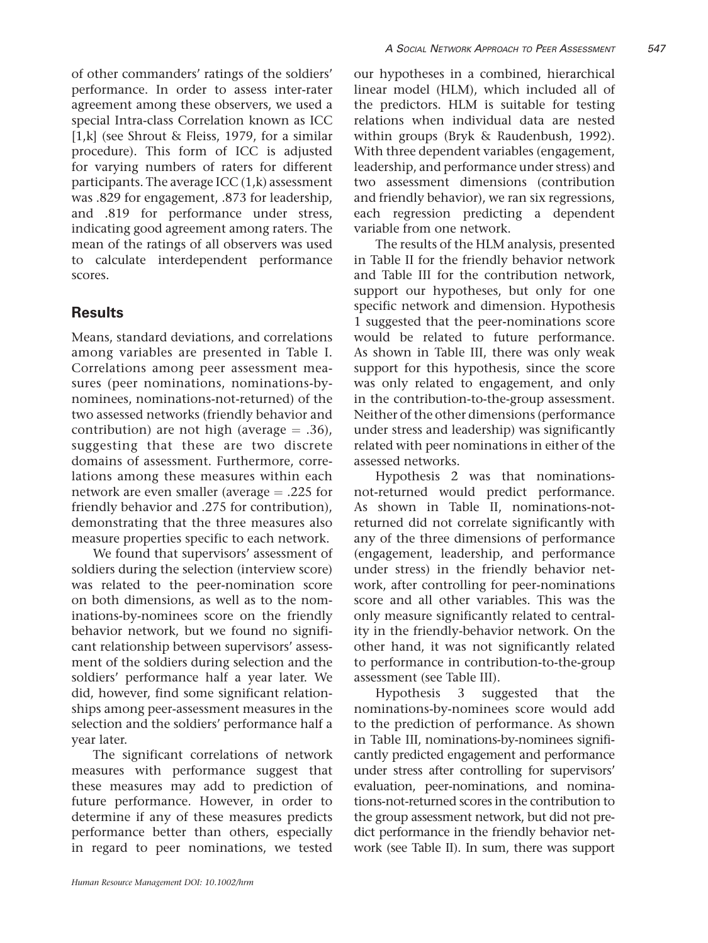of other commanders' ratings of the soldiers' performance. In order to assess inter-rater agreement among these observers, we used a special Intra-class Correlation known as ICC [1,k] (see Shrout & Fleiss, 1979, for a similar procedure). This form of ICC is adjusted for varying numbers of raters for different participants. The average ICC  $(1, k)$  assessment was .829 for engagement, .873 for leadership, and .819 for performance under stress, indicating good agreement among raters. The mean of the ratings of all observers was used to calculate interdependent performance scores.

#### **Results**

Means, standard deviations, and correlations among variables are presented in Table I. Correlations among peer assessment measures (peer nominations, nominations-bynominees, nominations-not-returned) of the two assessed networks (friendly behavior and contribution) are not high (average  $= .36$ ), suggesting that these are two discrete domains of assessment. Furthermore, correlations among these measures within each network are even smaller (average = .225 for friendly behavior and .275 for contribution), demonstrating that the three measures also measure properties specific to each network.

We found that supervisors' assessment of soldiers during the selection (interview score) was related to the peer-nomination score on both dimensions, as well as to the nominations-by-nominees score on the friendly behavior network, but we found no significant relationship between supervisors' assessment of the soldiers during selection and the soldiers' performance half a year later. We did, however, find some significant relationships among peer-assessment measures in the selection and the soldiers' performance half a year later.

The significant correlations of network measures with performance suggest that these measures may add to prediction of future performance. However, in order to determine if any of these measures predicts performance better than others, especially in regard to peer nominations, we tested

our hypotheses in a combined, hierarchical linear model (HLM), which included all of the predictors. HLM is suitable for testing relations when individual data are nested within groups (Bryk & Raudenbush, 1992). With three dependent variables (engagement, leadership, and performance under stress) and two assessment dimensions (contribution and friendly behavior), we ran six regressions, each regression predicting a dependent variable from one network.

The results of the HLM analysis, presented in Table II for the friendly behavior network and Table III for the contribution network, support our hypotheses, but only for one specific network and dimension. Hypothesis 1 suggested that the peer-nominations score would be related to future performance. As shown in Table III, there was only weak support for this hypothesis, since the score was only related to engagement, and only in the contribution-to-the-group assessment. Neither of the other dimensions (performance under stress and leadership) was significantly related with peer nominations in either of the assessed networks.

Hypothesis 2 was that nominationsnot-returned would predict performance. As shown in Table II, nominations-notreturned did not correlate significantly with any of the three dimensions of performance (engagement, leadership, and performance under stress) in the friendly behavior network, after controlling for peer-nominations score and all other variables. This was the only measure significantly related to centrality in the friendly-behavior network. On the other hand, it was not significantly related to performance in contribution-to-the-group assessment (see Table III).

Hypothesis 3 suggested that the nominations-by-nominees score would add to the prediction of performance. As shown in Table III, nominations-by-nominees significantly predicted engagement and performance under stress after controlling for supervisors' evaluation, peer-nominations, and nominations-not-returned scores in the contribution to the group assessment network, but did not predict performance in the friendly behavior network (see Table II). In sum, there was support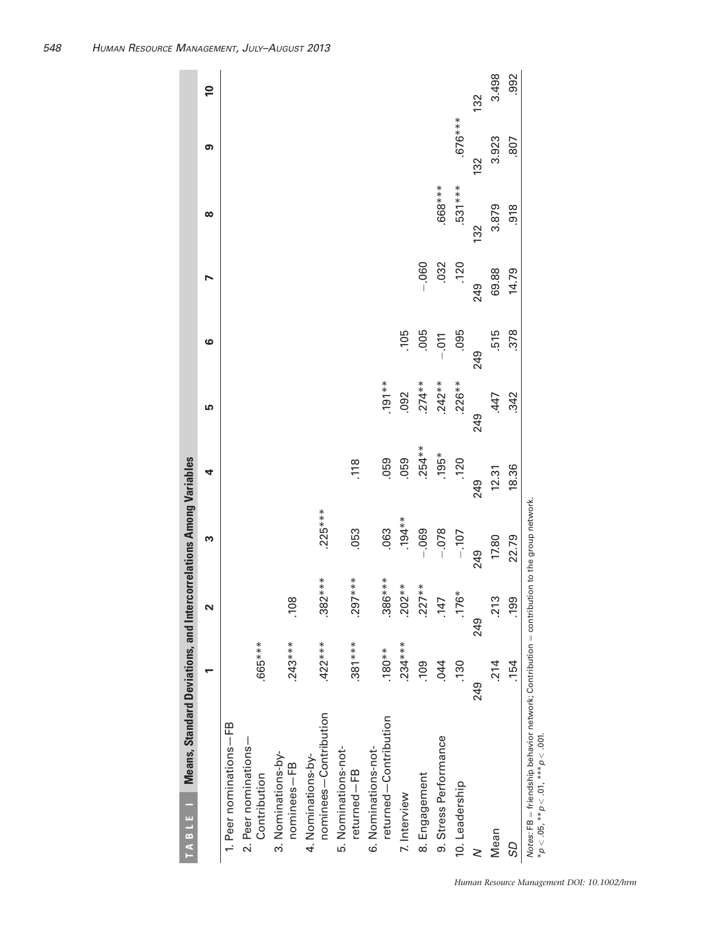| TABLE I                                                                                                                           | <b>Means, Standard Deviations, and Intercorrelations Among Variables</b> |                   |           |                |           |          |        |           |           |                |
|-----------------------------------------------------------------------------------------------------------------------------------|--------------------------------------------------------------------------|-------------------|-----------|----------------|-----------|----------|--------|-----------|-----------|----------------|
|                                                                                                                                   |                                                                          | $\mathbf{\Omega}$ | S         | 4              | ပ         | ဖ        | ↖      | 8         | თ         | $\overline{a}$ |
| 1. Peer nominations-FB                                                                                                            |                                                                          |                   |           |                |           |          |        |           |           |                |
| 2. Peer nominations-<br>Contribution                                                                                              | $-665***$                                                                |                   |           |                |           |          |        |           |           |                |
| 3. Nominations-by-<br>nominees-FB                                                                                                 | $.243***$                                                                | .108              |           |                |           |          |        |           |           |                |
| nominees-Contribution<br>4. Nominations-by-                                                                                       | $.422***$                                                                | $.382***$         | $.225***$ |                |           |          |        |           |           |                |
| 5. Nominations-not-<br>$returned - FB$                                                                                            | $.381***$                                                                | $.297***$         | .053      | $\frac{8}{10}$ |           |          |        |           |           |                |
| returned-Contribution<br>6. Nominations-not-                                                                                      | $.180**$                                                                 | $.386***$         | .063      | .059           | $**191$ . |          |        |           |           |                |
| 7. Interview                                                                                                                      | $.234***$                                                                | $.202**$          | $**194*$  | .059           | .092      | .105     |        |           |           |                |
| 8. Engagement                                                                                                                     | .109                                                                     | $.227**$          | $-.069$   | $.254**$       | $.274**$  | .005     | $-060$ |           |           |                |
| 9. Stress Performance                                                                                                             | .044                                                                     | .147              | $-0.078$  | $.195*$        | $.242**$  | $-0.011$ | .032   | $-668***$ |           |                |
| 10. Leadership                                                                                                                    | .130                                                                     | $.176*$           | $-107$    | .120           | $.226**$  | .095     | .120   | $.531***$ | $-676***$ |                |
| ⋜                                                                                                                                 | 249                                                                      | 249               | 249       | 249            | 249       | 249      | 249    | 132       | 132       | 132            |
| Mean                                                                                                                              | .214                                                                     | .213              | 17.80     | 12.31          | $-447$    | 515      | 69.88  | 3.879     | 3.923     | 3.498          |
| S <sub>S</sub>                                                                                                                    | .154                                                                     | <b>.199</b>       | 22.79     | 18.36          | 342       | 378      | 14.79  | .918      | .807      | .992           |
| Notes: FB = friendship behavior network; Contribution = contribution to the group network.<br>$*p < .05, **p < .01, **p < .001$ . |                                                                          |                   |           |                |           |          |        |           |           |                |

*Human Resource Management DOI: 10.1002/hrm*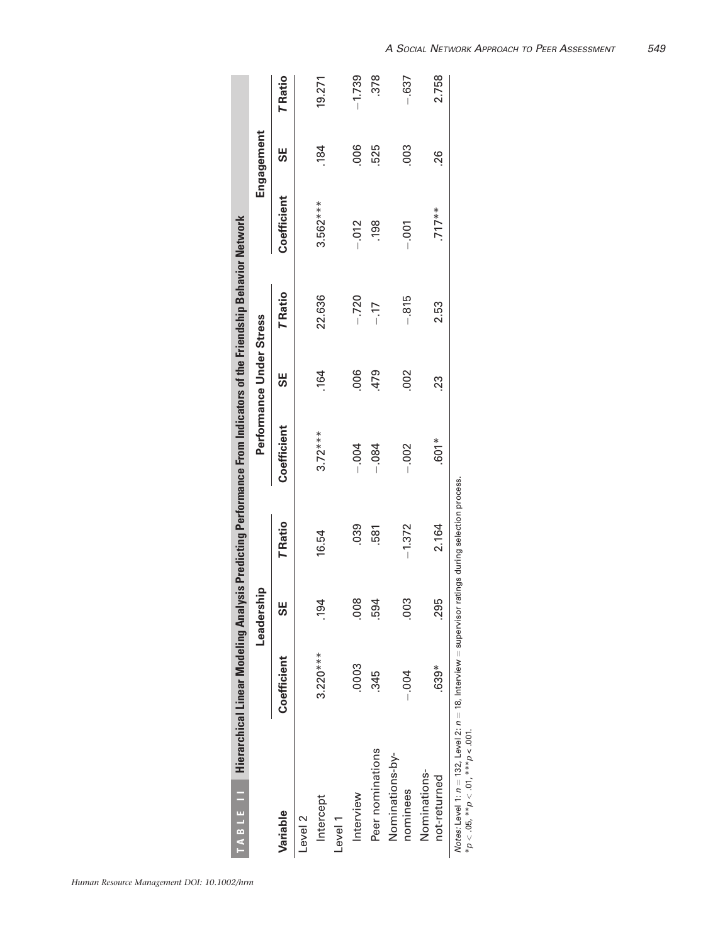| E<br><b>TABLE</b>  | Hierarchical Linear Modeling Analysis Predicting Performance From Indicators of the Friendship Behavior Network |            |               |             |                          |               |             |            |                |
|--------------------|-----------------------------------------------------------------------------------------------------------------|------------|---------------|-------------|--------------------------|---------------|-------------|------------|----------------|
|                    |                                                                                                                 | Leadership |               |             | Performance Under Stress |               |             | Engagement |                |
| Variable           | Coefficient                                                                                                     | 핒<br>ၯ     | <b>TRatio</b> | Coefficient | 55                       | <b>TRatio</b> | Coefficient | 55         | <b>T</b> Ratio |
| Level 2            |                                                                                                                 |            |               |             |                          |               |             |            |                |
| Intercept          | $3.220***$                                                                                                      | .194       | 16.54         | $3.72***$   | .164                     | 22.636        | $3.562***$  | .184       | 19.271         |
| Level <sub>1</sub> |                                                                                                                 |            |               |             |                          |               |             |            |                |
| Interview          | .0003                                                                                                           | .008       | .039          | $-0.004$    | .006                     | $-.720$       | $-.012$     | .006       | $-1.739$       |
| Peer nominations   | .345                                                                                                            | .594       | 581           | $-0.84$     | 479                      | $-17$         | .198        | 525        | 378            |
| Nominations-by-    |                                                                                                                 |            |               |             |                          |               |             |            |                |
| nominees           | $-0.004$                                                                                                        | .003       | $-1.372$      | $-.002$     | .002                     | $-815$        | $-0.001$    | .003       | $-.637$        |
| Nominations-       |                                                                                                                 |            |               |             |                          |               |             |            |                |
| not-returned       | .639*                                                                                                           | .295       | 2.164         | $.601*$     | 23                       | 2.53          | $.717**$    | 26         | 2.758          |

| と とうこうこうりょう ちょこう りろく                                               |                  |
|--------------------------------------------------------------------|------------------|
|                                                                    |                  |
|                                                                    |                  |
|                                                                    |                  |
|                                                                    |                  |
| s: Level 1: $n = 132$ , Level 2: $n = 18$ , Interview = supervisor | $\ddot{*}$<br>i, |
|                                                                    |                  |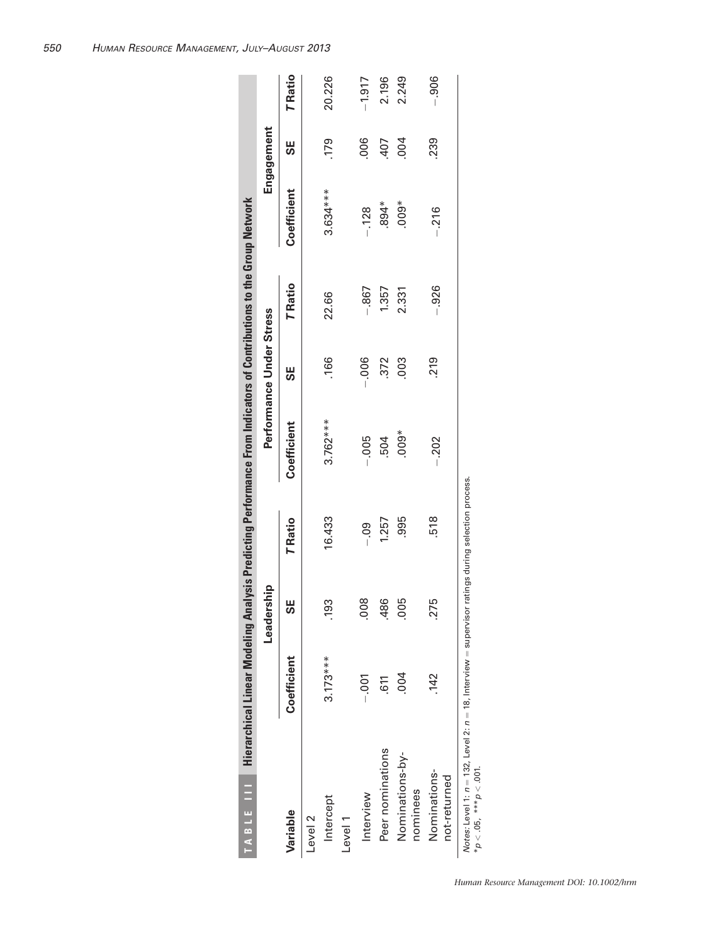|                                                                                                          |             | Leadership     |                |             | Performance Under Stress |                |             | Engagement |               |
|----------------------------------------------------------------------------------------------------------|-------------|----------------|----------------|-------------|--------------------------|----------------|-------------|------------|---------------|
| Variable                                                                                                 | Coefficient | 56             | <b>T</b> Ratio | Coefficient | 56                       | <b>T</b> Ratio | Coefficient | 56         | <b>TRatio</b> |
| Level 2                                                                                                  |             |                |                |             |                          |                |             |            |               |
| Intercept                                                                                                | $3.173***$  | .193           | 16.433         | $3.762***$  | .166                     | 22.66          | $3.634***$  | .179       | 20.226        |
| Level <sub>1</sub>                                                                                       |             |                |                |             |                          |                |             |            |               |
| Interview                                                                                                | $-0.001$    | .008           | $-0.9$         | $-0.05$     | $-0.06$                  | $-0.867$       | $-.128$     | 006        | $-1.917$      |
| Peer nominations                                                                                         | .611        | .486           | 1.257          | 504         | 372                      | 1.357          | $894*$      | 407        | 2.196         |
| Nominations-by-<br>nominees                                                                              | 004         | 56<br>ă        | .995           | $009*$      | 003                      | 2.331          | $.009*$     | 004        | 2.249         |
| Nominations-<br>not-returned                                                                             | .142        | 5<br><u>رى</u> | .518           | $-.202$     | .219                     | $-0.926$       | $-.216$     | 239        | $-0.906$      |
| Notes: Level 1: $n = 132$ , Level 2: $n = 18$ , Interview = supervisor ratings during selection process. |             |                |                |             |                          |                |             |            |               |

= supervisor ratings during selection process. ī. ر<del>د</del> נ<br>ת Ĭ.  $*p < .05$ ,  $** p < .001$ .  $* p < 05$ ,  $* * p < 001$ .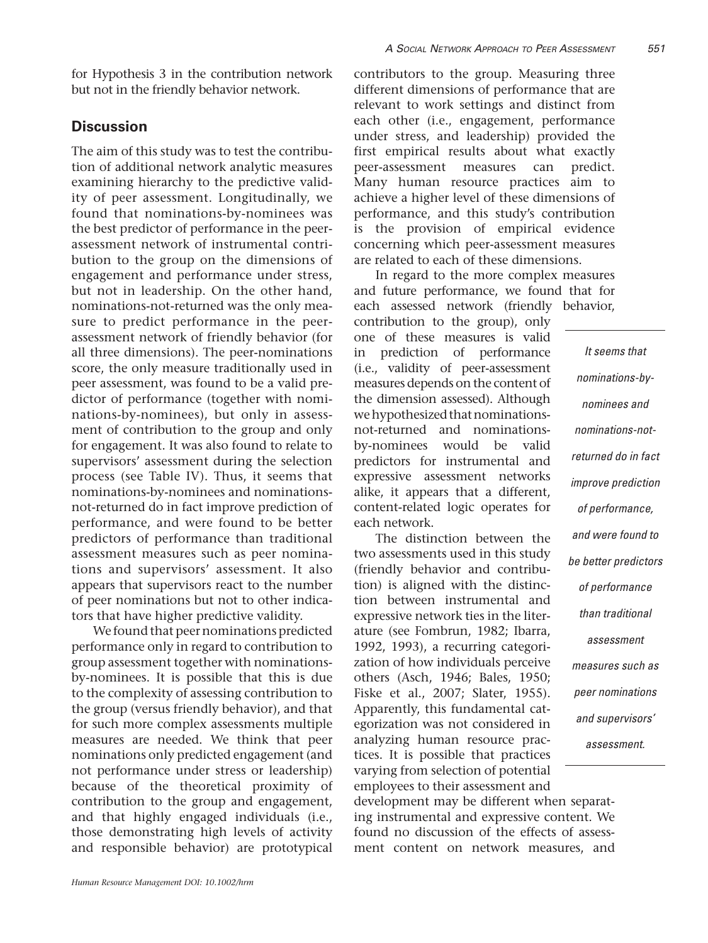for Hypothesis 3 in the contribution network but not in the friendly behavior network.

#### **Discussion**

The aim of this study was to test the contribution of additional network analytic measures examining hierarchy to the predictive validity of peer assessment. Longitudinally, we found that nominations-by-nominees was the best predictor of performance in the peerassessment network of instrumental contribution to the group on the dimensions of engagement and performance under stress, but not in leadership. On the other hand, nominations-not-returned was the only measure to predict performance in the peerassessment network of friendly behavior (for all three dimensions). The peer-nominations score, the only measure traditionally used in peer assessment, was found to be a valid predictor of performance (together with nominations-by-nominees), but only in assessment of contribution to the group and only for engagement. It was also found to relate to supervisors' assessment during the selection process (see Table IV). Thus, it seems that nominations-by-nominees and nominationsnot-returned do in fact improve prediction of performance, and were found to be better predictors of performance than traditional assessment measures such as peer nominations and supervisors' assessment. It also appears that supervisors react to the number of peer nominations but not to other indicators that have higher predictive validity.

We found that peer nominations predicted performance only in regard to contribution to group assessment together with nominationsby-nominees. It is possible that this is due to the complexity of assessing contribution to the group (versus friendly behavior), and that for such more complex assessments multiple measures are needed. We think that peer nominations only predicted engagement (and not performance under stress or leadership) because of the theoretical proximity of contribution to the group and engagement, and that highly engaged individuals (i.e., those demonstrating high levels of activity and responsible behavior) are prototypical contributors to the group. Measuring three different dimensions of performance that are relevant to work settings and distinct from each other (i.e., engagement, performance under stress, and leadership) provided the first empirical results about what exactly peer-assessment measures can predict. Many human resource practices aim to achieve a higher level of these dimensions of performance, and this study's contribution is the provision of empirical evidence concerning which peer-assessment measures are related to each of these dimensions.

In regard to the more complex measures and future performance, we found that for each assessed network (friendly behavior, contribution to the group), only one of these measures is valid in prediction of performance (i.e., validity of peer-assessment measures depends on the content of the dimension assessed). Although we hypothesized that nominationsnot-returned and nominationsby-nominees would be valid predictors for instrumental and expressive assessment networks alike, it appears that a different, content-related logic operates for each network.

The distinction between the two assessments used in this study (friendly behavior and contribution) is aligned with the distinction between instrumental and expressive network ties in the literature (see Fombrun, 1982; Ibarra, 1992, 1993), a recurring categorization of how individuals perceive others (Asch, 1946; Bales, 1950; Fiske et al., 2007; Slater, 1955). Apparently, this fundamental categorization was not considered in analyzing human resource practices. It is possible that practices varying from selection of potential employees to their assessment and

It seems that nominations-bynominees and nominations-notreturned do in fact improve prediction of performance, and were found to be better predictors of performance than traditional assessment measures such as peer nominations and supervisors' assessment.

development may be different when separating instrumental and expressive content. We found no discussion of the effects of assessment content on network measures, and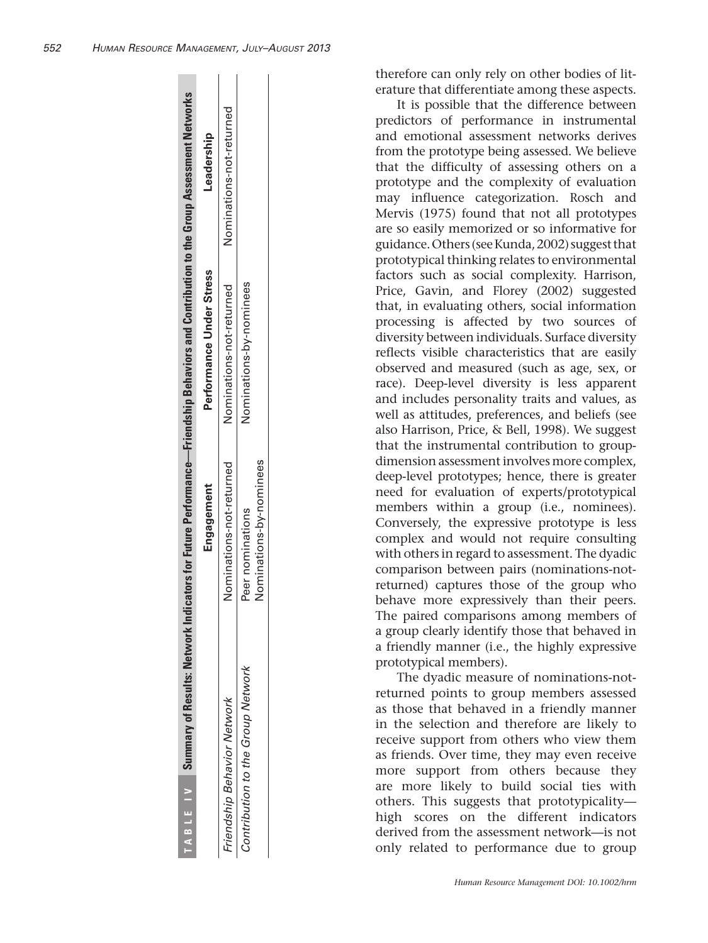Summary of Results: Network Indicators for Future Performance—Friendship Behaviors and Contribution to the Group Assessment Networks **TABLE IV Summary of Results: Network Indicators for Future Performance—Friendship Behaviors and Contribution to the Group Assessment Networks** Nominations-not-returned Friendship Behavior Network Nominations-not-returned Nominations-not-returned Nominations-not-returned Leadership **Engagement Performance Under Stress Leadership** Performance Under Stress Nominations-by-nominees Nominations-not-returned Nominations-by-nominees Nominations-by-nominees Nominations-by-nominees Nominations-not-returned Engagement Peer nominations Contribution to the Group Network Peer nominations Contribution to the Group Network Friendship Behavior Network ABLE IV

therefore can only rely on other bodies of literature that differentiate among these aspects.

It is possible that the difference between predictors of performance in instrumental and emotional assessment networks derives from the prototype being assessed. We believe that the difficulty of assessing others on a prototype and the complexity of evaluation may influence categorization. Rosch and Mervis (1975) found that not all prototypes are so easily memorized or so informative for guidance. Others (see Kunda, 2002) suggest that prototypical thinking relates to environmental factors such as social complexity. Harrison, Price, Gavin, and Florey (2002) suggested that, in evaluating others, social information processing is affected by two sources of diversity between individuals. Surface diversity reflects visible characteristics that are easily observed and measured (such as age, sex, or race). Deep-level diversity is less apparent and includes personality traits and values, as well as attitudes, preferences, and beliefs (see also Harrison, Price, & Bell, 1998). We suggest that the instrumental contribution to groupdimension assessment involves more complex, deep-level prototypes; hence, there is greater need for evaluation of experts/prototypical members within a group (i.e., nominees). Conversely, the expressive prototype is less complex and would not require consulting with others in regard to assessment. The dyadic comparison between pairs (nominations-notreturned) captures those of the group who behave more expressively than their peers. The paired comparisons among members of a group clearly identify those that behaved in a friendly manner (i.e., the highly expressive prototypical members).

The dyadic measure of nominations-notreturned points to group members assessed as those that behaved in a friendly manner in the selection and therefore are likely to receive support from others who view them as friends. Over time, they may even receive more support from others because they are more likely to build social ties with others. This suggests that prototypicality high scores on the different indicators derived from the assessment network—is not only related to performance due to group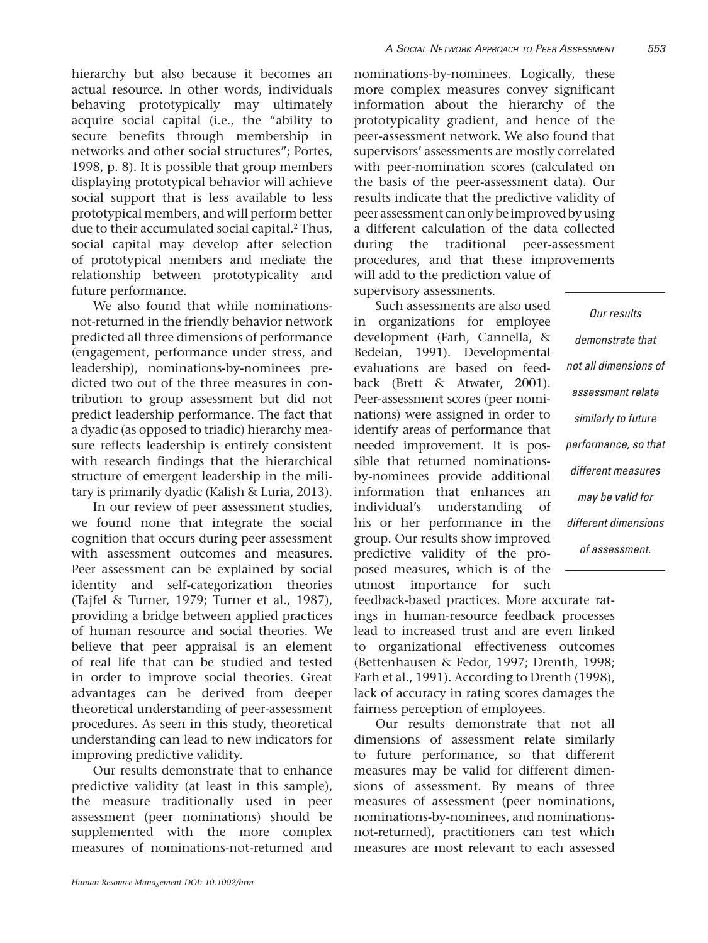hierarchy but also because it becomes an actual resource. In other words, individuals behaving prototypically may ultimately acquire social capital (i.e., the "ability to secure benefits through membership in networks and other social structures"; Portes, 1998, p. 8). It is possible that group members displaying prototypical behavior will achieve social support that is less available to less prototypical members, and will perform better due to their accumulated social capital.2 Thus, social capital may develop after selection of prototypical members and mediate the relationship between prototypicality and future performance.

We also found that while nominationsnot-returned in the friendly behavior network predicted all three dimensions of performance (engagement, performance under stress, and leadership), nominations-by-nominees predicted two out of the three measures in contribution to group assessment but did not predict leadership performance. The fact that a dyadic (as opposed to triadic) hierarchy measure reflects leadership is entirely consistent with research findings that the hierarchical structure of emergent leadership in the military is primarily dyadic (Kalish & Luria, 2013).

In our review of peer assessment studies, we found none that integrate the social cognition that occurs during peer assessment with assessment outcomes and measures. Peer assessment can be explained by social identity and self-categorization theories (Tajfel & Turner, 1979; Turner et al., 1987), providing a bridge between applied practices of human resource and social theories. We believe that peer appraisal is an element of real life that can be studied and tested in order to improve social theories. Great advantages can be derived from deeper theoretical understanding of peer-assessment procedures. As seen in this study, theoretical understanding can lead to new indicators for improving predictive validity.

Our results demonstrate that to enhance predictive validity (at least in this sample), the measure traditionally used in peer assessment (peer nominations) should be supplemented with the more complex measures of nominations-not-returned and

nominations-by-nominees. Logically, these more complex measures convey significant information about the hierarchy of the prototypicality gradient, and hence of the peer-assessment network. We also found that supervisors' assessments are mostly correlated with peer-nomination scores (calculated on the basis of the peer-assessment data). Our results indicate that the predictive validity of peer assessment can only be improved by using a different calculation of the data collected during the traditional peer-assessment procedures, and that these improvements will add to the prediction value of supervisory assessments.

Such assessments are also used in organizations for employee development (Farh, Cannella, & Bedeian, 1991). Developmental evaluations are based on feedback (Brett & Atwater, 2001). Peer-assessment scores (peer nominations) were assigned in order to identify areas of performance that needed improvement. It is possible that returned nominationsby-nominees provide additional information that enhances an individual's understanding of his or her performance in the group. Our results show improved predictive validity of the proposed measures, which is of the utmost importance for such

feedback-based practices. More accurate ratings in human-resource feedback processes lead to increased trust and are even linked to organizational effectiveness outcomes (Bettenhausen & Fedor, 1997; Drenth, 1998; Farh et al., 1991). According to Drenth (1998), lack of accuracy in rating scores damages the fairness perception of employees.

Our results demonstrate that not all dimensions of assessment relate similarly to future performance, so that different measures may be valid for different dimensions of assessment. By means of three measures of assessment (peer nominations, nominations-by-nominees, and nominationsnot-returned), practitioners can test which measures are most relevant to each assessed

Our results demonstrate that not all dimensions of assessment relate similarly to future performance, so that different measures may be valid for different dimensions of assessment.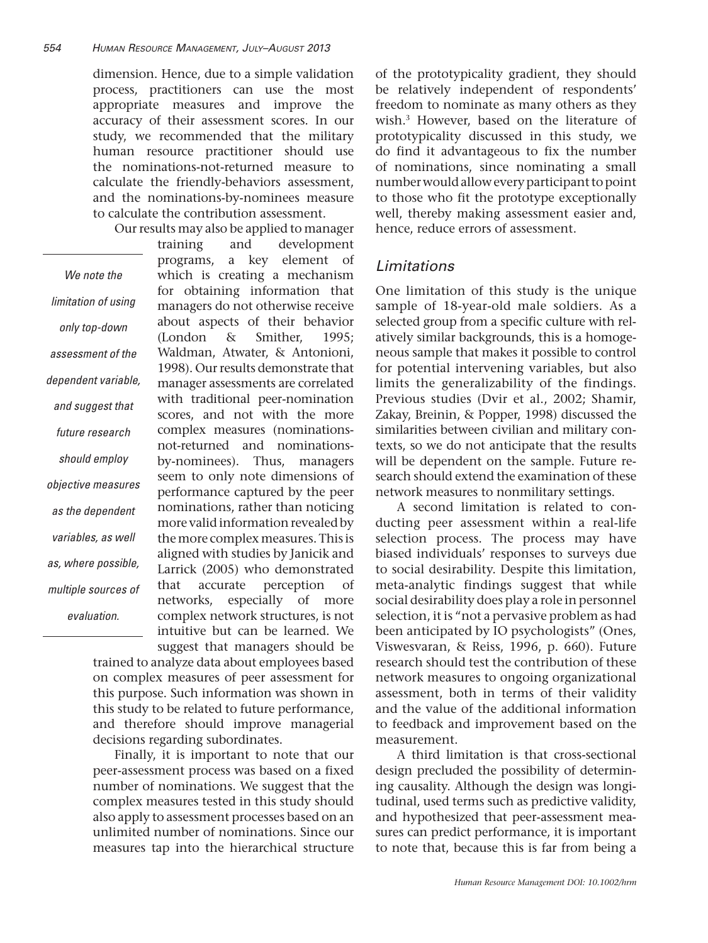dimension. Hence, due to a simple validation process, practitioners can use the most appropriate measures and improve the accuracy of their assessment scores. In our study, we recommended that the military human resource practitioner should use the nominations-not-returned measure to calculate the friendly-behaviors assessment, and the nominations-by-nominees measure to calculate the contribution assessment.

We note the limitation of using only top-down assessment of the dependent variable, and suggest that future research should employ objective measures as the dependent variables, as well as, where possible, multiple sources of evaluation.

Our results may also be applied to manager training and development programs, a key element of which is creating a mechanism for obtaining information that managers do not otherwise receive about aspects of their behavior (London & Smither, 1995; Waldman, Atwater, & Antonioni, 1998). Our results demonstrate that manager assessments are correlated with traditional peer-nomination scores, and not with the more complex measures (nominationsnot-returned and nominationsby-nominees). Thus, managers seem to only note dimensions of performance captured by the peer nominations, rather than noticing more valid information revealed by the more complex measures. This is aligned with studies by Janicik and Larrick (2005) who demonstrated that accurate perception of networks, especially of more complex network structures, is not intuitive but can be learned. We suggest that managers should be

trained to analyze data about employees based on complex measures of peer assessment for this purpose. Such information was shown in this study to be related to future performance, and therefore should improve managerial decisions regarding subordinates.

Finally, it is important to note that our peer-assessment process was based on a fixed number of nominations. We suggest that the complex measures tested in this study should also apply to assessment processes based on an unlimited number of nominations. Since our measures tap into the hierarchical structure

of the prototypicality gradient, they should be relatively independent of respondents' freedom to nominate as many others as they wish.3 However, based on the literature of prototypicality discussed in this study, we do find it advantageous to fix the number of nominations, since nominating a small number would allow every participant to point to those who fit the prototype exceptionally well, thereby making assessment easier and, hence, reduce errors of assessment.

# Limitations

One limitation of this study is the unique sample of 18-year-old male soldiers. As a selected group from a specific culture with relatively similar backgrounds, this is a homogeneous sample that makes it possible to control for potential intervening variables, but also limits the generalizability of the findings. Previous studies (Dvir et al., 2002; Shamir, Zakay, Breinin, & Popper, 1998) discussed the similarities between civilian and military contexts, so we do not anticipate that the results will be dependent on the sample. Future research should extend the examination of these network measures to nonmilitary settings.

A second limitation is related to conducting peer assessment within a real-life selection process. The process may have biased individuals' responses to surveys due to social desirability. Despite this limitation, meta-analytic findings suggest that while social desirability does play a role in personnel selection, it is "not a pervasive problem as had been anticipated by IO psychologists" (Ones, Viswesvaran, & Reiss, 1996, p. 660). Future research should test the contribution of these network measures to ongoing organizational assessment, both in terms of their validity and the value of the additional information to feedback and improvement based on the measurement.

A third limitation is that cross-sectional design precluded the possibility of determining causality. Although the design was longitudinal, used terms such as predictive validity, and hypothesized that peer-assessment measures can predict performance, it is important to note that, because this is far from being a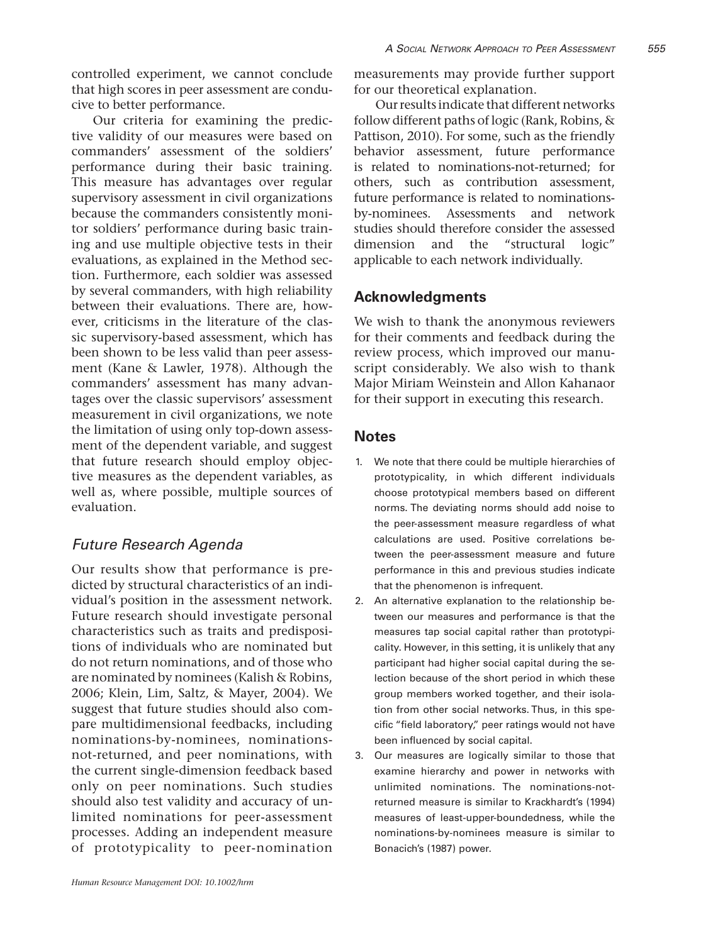controlled experiment, we cannot conclude that high scores in peer assessment are conducive to better performance.

Our criteria for examining the predictive validity of our measures were based on commanders' assessment of the soldiers' performance during their basic training. This measure has advantages over regular supervisory assessment in civil organizations because the commanders consistently monitor soldiers' performance during basic training and use multiple objective tests in their evaluations, as explained in the Method section. Furthermore, each soldier was assessed by several commanders, with high reliability between their evaluations. There are, however, criticisms in the literature of the classic supervisory-based assessment, which has been shown to be less valid than peer assessment (Kane & Lawler, 1978). Although the commanders' assessment has many advantages over the classic supervisors' assessment measurement in civil organizations, we note the limitation of using only top-down assessment of the dependent variable, and suggest that future research should employ objective measures as the dependent variables, as well as, where possible, multiple sources of evaluation.

# Future Research Agenda

Our results show that performance is predicted by structural characteristics of an individual's position in the assessment network. Future research should investigate personal characteristics such as traits and predispositions of individuals who are nominated but do not return nominations, and of those who are nominated by nominees (Kalish & Robins, 2006; Klein, Lim, Saltz, & Mayer, 2004). We suggest that future studies should also compare multidimensional feedbacks, including nominations-by-nominees, nominationsnot-returned, and peer nominations, with the current single-dimension feedback based only on peer nominations. Such studies should also test validity and accuracy of unlimited nominations for peer-assessment processes. Adding an independent measure of prototypicality to peer-nomination measurements may provide further support for our theoretical explanation.

Our results indicate that different networks follow different paths of logic (Rank, Robins, & Pattison, 2010). For some, such as the friendly behavior assessment, future performance is related to nominations-not-returned; for others, such as contribution assessment, future performance is related to nominationsby-nominees. Assessments and network studies should therefore consider the assessed dimension and the "structural logic" applicable to each network individually.

#### **Acknowledgments**

We wish to thank the anonymous reviewers for their comments and feedback during the review process, which improved our manuscript considerably. We also wish to thank Major Miriam Weinstein and Allon Kahanaor for their support in executing this research.

#### **Notes**

- 1. We note that there could be multiple hierarchies of prototypicality, in which different individuals choose prototypical members based on different norms. The deviating norms should add noise to the peer-assessment measure regardless of what calculations are used. Positive correlations between the peer-assessment measure and future performance in this and previous studies indicate that the phenomenon is infrequent.
- 2. An alternative explanation to the relationship between our measures and performance is that the measures tap social capital rather than prototypicality. However, in this setting, it is unlikely that any participant had higher social capital during the selection because of the short period in which these group members worked together, and their isolation from other social networks. Thus, in this specific "field laboratory," peer ratings would not have been influenced by social capital.
- 3. Our measures are logically similar to those that examine hierarchy and power in networks with unlimited nominations. The nominations-notreturned measure is similar to Krackhardt's (1994) measures of least-upper-boundedness, while the nominations-by-nominees measure is similar to Bonacich's (1987) power.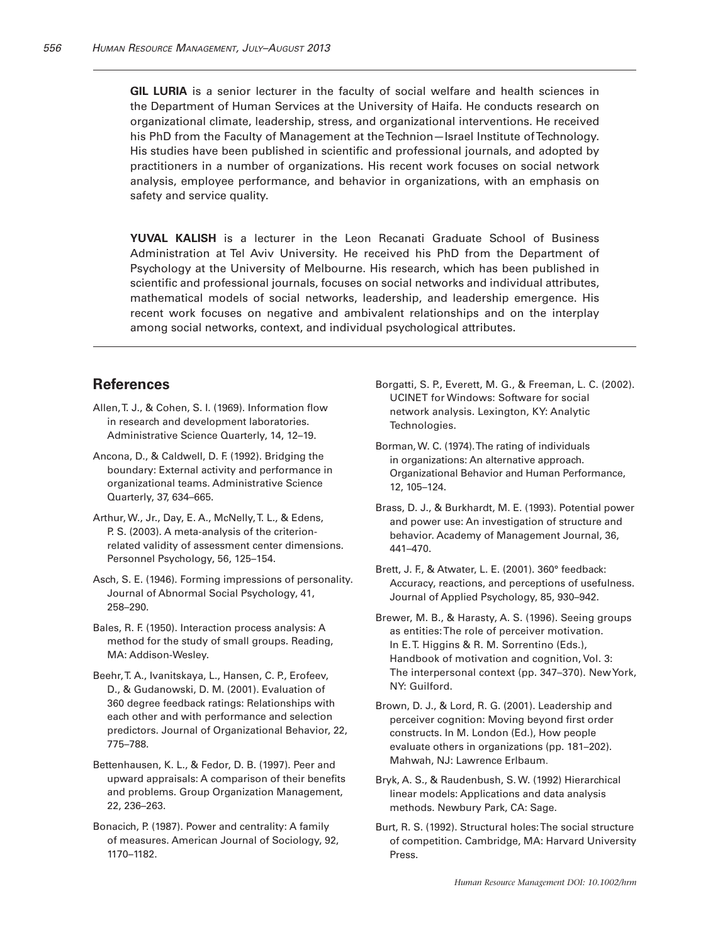**GIL LURIA** is a senior lecturer in the faculty of social welfare and health sciences in the Department of Human Services at the University of Haifa. He conducts research on organizational climate, leadership, stress, and organizational interventions. He received his PhD from the Faculty of Management at the Technion—Israel Institute of Technology. His studies have been published in scientific and professional journals, and adopted by practitioners in a number of organizations. His recent work focuses on social network analysis, employee performance, and behavior in organizations, with an emphasis on safety and service quality.

**YUVAL KALISH** is a lecturer in the Leon Recanati Graduate School of Business Administration at Tel Aviv University. He received his PhD from the Department of Psychology at the University of Melbourne. His research, which has been published in scientific and professional journals, focuses on social networks and individual attributes, mathematical models of social networks, leadership, and leadership emergence. His recent work focuses on negative and ambivalent relationships and on the interplay among social networks, context, and individual psychological attributes.

# **References**

- Allen, T. J., & Cohen, S. I. (1969). Information flow in research and development laboratories. Administrative Science Quarterly, 14, 12–19.
- Ancona, D., & Caldwell, D. F. (1992). Bridging the boundary: External activity and performance in organizational teams. Administrative Science Quarterly, 37, 634–665.
- Arthur, W., Jr., Day, E. A., McNelly, T. L., & Edens, P. S. (2003). A meta-analysis of the criterionrelated validity of assessment center dimensions. Personnel Psychology, 56, 125–154.
- Asch, S. E. (1946). Forming impressions of personality. Journal of Abnormal Social Psychology, 41, 258–290.
- Bales, R. F. (1950). Interaction process analysis: A method for the study of small groups. Reading, MA: Addison-Wesley.
- Beehr, T. A., Ivanitskaya, L., Hansen, C. P., Erofeev, D., & Gudanowski, D. M. (2001). Evaluation of 360 degree feedback ratings: Relationships with each other and with performance and selection predictors. Journal of Organizational Behavior, 22, 775–788.
- Bettenhausen, K. L., & Fedor, D. B. (1997). Peer and upward appraisals: A comparison of their benefits and problems. Group Organization Management, 22, 236–263.
- Bonacich, P. (1987). Power and centrality: A family of measures. American Journal of Sociology, 92, 1170–1182.
- Borgatti, S. P., Everett, M. G., & Freeman, L. C. (2002). UCINET for Windows: Software for social network analysis. Lexington, KY: Analytic Technologies.
- Borman, W. C. (1974). The rating of individuals in organizations: An alternative approach. Organizational Behavior and Human Performance, 12, 105–124.
- Brass, D. J., & Burkhardt, M. E. (1993). Potential power and power use: An investigation of structure and behavior. Academy of Management Journal, 36, 441–470.
- Brett, J. F., & Atwater, L. E. (2001). 360° feedback: Accuracy, reactions, and perceptions of usefulness. Journal of Applied Psychology, 85, 930–942.
- Brewer, M. B., & Harasty, A. S. (1996). Seeing groups as entities: The role of perceiver motivation. In E. T. Higgins & R. M. Sorrentino (Eds.), Handbook of motivation and cognition, Vol. 3: The interpersonal context (pp. 347–370). New York, NY: Guilford.
- Brown, D. J., & Lord, R. G. (2001). Leadership and perceiver cognition: Moving beyond first order constructs. In M. London (Ed.), How people evaluate others in organizations (pp. 181–202). Mahwah, NJ: Lawrence Erlbaum.
- Bryk, A. S., & Raudenbush, S. W. (1992) Hierarchical linear models: Applications and data analysis methods. Newbury Park, CA: Sage.
- Burt, R. S. (1992). Structural holes: The social structure of competition. Cambridge, MA: Harvard University Press.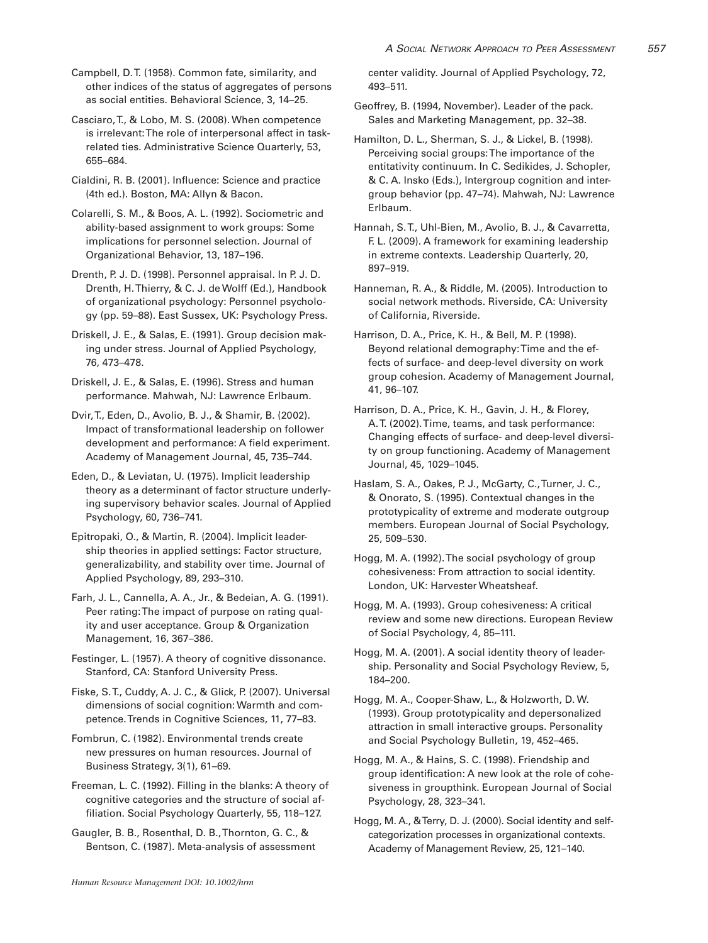Campbell, D. T. (1958). Common fate, similarity, and other indices of the status of aggregates of persons as social entities. Behavioral Science, 3, 14–25.

Casciaro, T., & Lobo, M. S. (2008). When competence is irrelevant: The role of interpersonal affect in taskrelated ties. Administrative Science Quarterly, 53, 655–684.

Cialdini, R. B. (2001). Influence: Science and practice (4th ed.). Boston, MA: Allyn & Bacon.

Colarelli, S. M., & Boos, A. L. (1992). Sociometric and ability-based assignment to work groups: Some implications for personnel selection. Journal of Organizational Behavior, 13, 187–196.

Drenth, P. J. D. (1998). Personnel appraisal. In P. J. D. Drenth, H. Thierry, & C. J. de Wolff (Ed.), Handbook of organizational psychology: Personnel psychology (pp. 59–88). East Sussex, UK: Psychology Press.

Driskell, J. E., & Salas, E. (1991). Group decision making under stress. Journal of Applied Psychology, 76, 473–478.

Driskell, J. E., & Salas, E. (1996). Stress and human performance. Mahwah, NJ: Lawrence Erlbaum.

Dvir, T., Eden, D., Avolio, B. J., & Shamir, B. (2002). Impact of transformational leadership on follower development and performance: A field experiment. Academy of Management Journal, 45, 735–744.

Eden, D., & Leviatan, U. (1975). Implicit leadership theory as a determinant of factor structure underlying supervisory behavior scales. Journal of Applied Psychology, 60, 736–741.

Epitropaki, O., & Martin, R. (2004). Implicit leadership theories in applied settings: Factor structure, generalizability, and stability over time. Journal of Applied Psychology, 89, 293–310.

Farh, J. L., Cannella, A. A., Jr., & Bedeian, A. G. (1991). Peer rating: The impact of purpose on rating quality and user acceptance. Group & Organization Management, 16, 367–386.

Festinger, L. (1957). A theory of cognitive dissonance. Stanford, CA: Stanford University Press.

Fiske, S. T., Cuddy, A. J. C., & Glick, P. (2007). Universal dimensions of social cognition: Warmth and competence. Trends in Cognitive Sciences, 11, 77–83.

Fombrun, C. (1982). Environmental trends create new pressures on human resources. Journal of Business Strategy, 3(1), 61–69.

Freeman, L. C. (1992). Filling in the blanks: A theory of cognitive categories and the structure of social affiliation. Social Psychology Quarterly, 55, 118-127.

Gaugler, B. B., Rosenthal, D. B., Thornton, G. C., & Bentson, C. (1987). Meta-analysis of assessment center validity. Journal of Applied Psychology, 72, 493–511.

Geoffrey, B. (1994, November). Leader of the pack. Sales and Marketing Management, pp. 32–38.

Hamilton, D. L., Sherman, S. J., & Lickel, B. (1998). Perceiving social groups: The importance of the entitativity continuum. In C. Sedikides, J. Schopler, & C. A. Insko (Eds.), Intergroup cognition and intergroup behavior (pp. 47–74). Mahwah, NJ: Lawrence Erlbaum.

Hannah, S. T., Uhl-Bien, M., Avolio, B. J., & Cavarretta, F. L. (2009). A framework for examining leadership in extreme contexts. Leadership Quarterly, 20, 897–919.

Hanneman, R. A., & Riddle, M. (2005). Introduction to social network methods. Riverside, CA: University of California, Riverside.

Harrison, D. A., Price, K. H., & Bell, M. P. (1998). Beyond relational demography: Time and the effects of surface- and deep-level diversity on work group cohesion. Academy of Management Journal, 41, 96–107.

Harrison, D. A., Price, K. H., Gavin, J. H., & Florey, A. T. (2002). Time, teams, and task performance: Changing effects of surface- and deep-level diversity on group functioning. Academy of Management Journal, 45, 1029–1045.

Haslam, S. A., Oakes, P. J., McGarty, C., Turner, J. C., & Onorato, S. (1995). Contextual changes in the prototypicality of extreme and moderate outgroup members. European Journal of Social Psychology, 25, 509–530.

Hogg, M. A. (1992). The social psychology of group cohesiveness: From attraction to social identity. London, UK: Harvester Wheatsheaf.

Hogg, M. A. (1993). Group cohesiveness: A critical review and some new directions. European Review of Social Psychology, 4, 85–111.

Hogg, M. A. (2001). A social identity theory of leadership. Personality and Social Psychology Review, 5, 184–200.

Hogg, M. A., Cooper-Shaw, L., & Holzworth, D. W. (1993). Group prototypicality and depersonalized attraction in small interactive groups. Personality and Social Psychology Bulletin, 19, 452–465.

Hogg, M. A., & Hains, S. C. (1998). Friendship and group identification: A new look at the role of cohesiveness in groupthink. European Journal of Social Psychology, 28, 323–341.

Hogg, M. A., & Terry, D. J. (2000). Social identity and selfcategorization processes in organizational contexts. Academy of Management Review, 25, 121–140.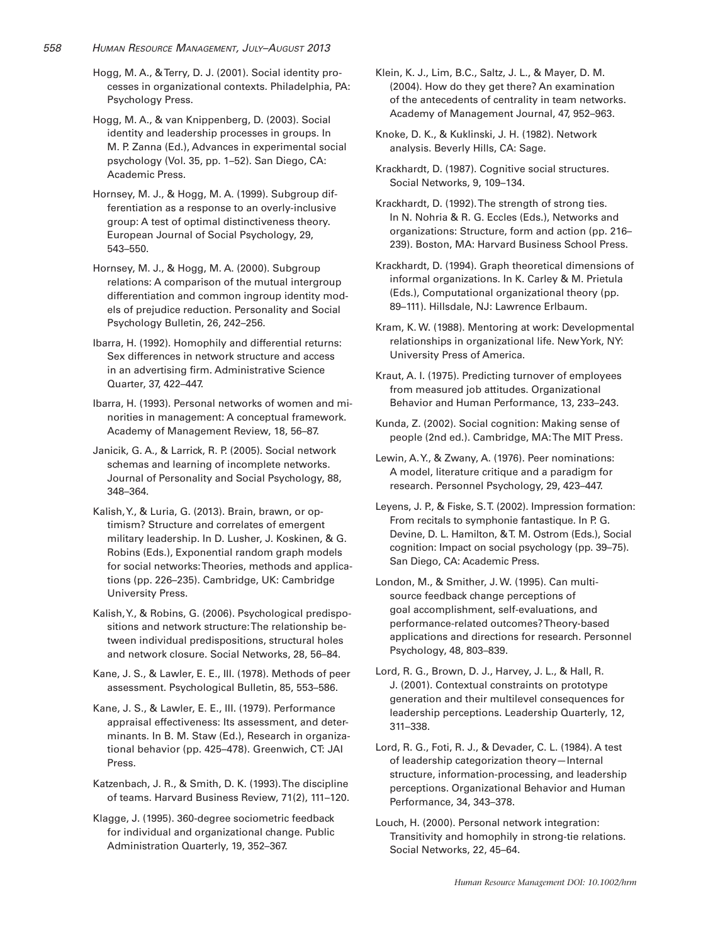558 HUMAN RESOURCE MANAGEMENT, JULY–AUGUST 2013

Hogg, M. A., & Terry, D. J. (2001). Social identity processes in organizational contexts. Philadelphia, PA: Psychology Press.

Hogg, M. A., & van Knippenberg, D. (2003). Social identity and leadership processes in groups. In M. P. Zanna (Ed.), Advances in experimental social psychology (Vol. 35, pp. 1–52). San Diego, CA: Academic Press.

Hornsey, M. J., & Hogg, M. A. (1999). Subgroup differentiation as a response to an overly-inclusive group: A test of optimal distinctiveness theory. European Journal of Social Psychology, 29, 543–550.

Hornsey, M. J., & Hogg, M. A. (2000). Subgroup relations: A comparison of the mutual intergroup differentiation and common ingroup identity models of prejudice reduction. Personality and Social Psychology Bulletin, 26, 242–256.

Ibarra, H. (1992). Homophily and differential returns: Sex differences in network structure and access in an advertising firm. Administrative Science Quarter, 37, 422–447.

Ibarra, H. (1993). Personal networks of women and minorities in management: A conceptual framework. Academy of Management Review, 18, 56–87.

Janicik, G. A., & Larrick, R. P. (2005). Social network schemas and learning of incomplete networks. Journal of Personality and Social Psychology, 88, 348–364.

Kalish, Y., & Luria, G. (2013). Brain, brawn, or optimism? Structure and correlates of emergent military leadership. In D. Lusher, J. Koskinen, & G. Robins (Eds.), Exponential random graph models for social networks: Theories, methods and applications (pp. 226–235). Cambridge, UK: Cambridge University Press.

Kalish, Y., & Robins, G. (2006). Psychological predispositions and network structure: The relationship between individual predispositions, structural holes and network closure. Social Networks, 28, 56–84.

Kane, J. S., & Lawler, E. E., III. (1978). Methods of peer assessment. Psychological Bulletin, 85, 553–586.

Kane, J. S., & Lawler, E. E., III. (1979). Performance appraisal effectiveness: Its assessment, and determinants. In B. M. Staw (Ed.), Research in organizational behavior (pp. 425–478). Greenwich, CT: JAI Press.

Katzenbach, J. R., & Smith, D. K. (1993). The discipline of teams. Harvard Business Review, 71(2), 111–120.

Klagge, J. (1995). 360-degree sociometric feedback for individual and organizational change. Public Administration Quarterly, 19, 352–367.

Klein, K. J., Lim, B.C., Saltz, J. L., & Mayer, D. M. (2004). How do they get there? An examination of the antecedents of centrality in team networks. Academy of Management Journal, 47, 952–963.

Knoke, D. K., & Kuklinski, J. H. (1982). Network analysis. Beverly Hills, CA: Sage.

Krackhardt, D. (1987). Cognitive social structures. Social Networks, 9, 109–134.

Krackhardt, D. (1992). The strength of strong ties. In N. Nohria & R. G. Eccles (Eds.), Networks and organizations: Structure, form and action (pp. 216– 239). Boston, MA: Harvard Business School Press.

Krackhardt, D. (1994). Graph theoretical dimensions of informal organizations. In K. Carley & M. Prietula (Eds.), Computational organizational theory (pp. 89–111). Hillsdale, NJ: Lawrence Erlbaum.

Kram, K. W. (1988). Mentoring at work: Developmental relationships in organizational life. New York, NY: University Press of America.

Kraut, A. I. (1975). Predicting turnover of employees from measured job attitudes. Organizational Behavior and Human Performance, 13, 233–243.

Kunda, Z. (2002). Social cognition: Making sense of people (2nd ed.). Cambridge, MA: The MIT Press.

Lewin, A. Y., & Zwany, A. (1976). Peer nominations: A model, literature critique and a paradigm for research. Personnel Psychology, 29, 423–447.

Leyens, J. P., & Fiske, S. T. (2002). Impression formation: From recitals to symphonie fantastique. In P. G. Devine, D. L. Hamilton, & T. M. Ostrom (Eds.), Social cognition: Impact on social psychology (pp. 39–75). San Diego, CA: Academic Press.

London, M., & Smither, J. W. (1995). Can multisource feedback change perceptions of goal accomplishment, self-evaluations, and performance-related outcomes? Theory-based applications and directions for research. Personnel Psychology, 48, 803–839.

Lord, R. G., Brown, D. J., Harvey, J. L., & Hall, R. J. (2001). Contextual constraints on prototype generation and their multilevel consequences for leadership perceptions. Leadership Quarterly, 12, 311–338.

Lord, R. G., Foti, R. J., & Devader, C. L. (1984). A test of leadership categorization theory—Internal structure, information-processing, and leadership perceptions. Organizational Behavior and Human Performance, 34, 343–378.

Louch, H. (2000). Personal network integration: Transitivity and homophily in strong-tie relations. Social Networks, 22, 45–64.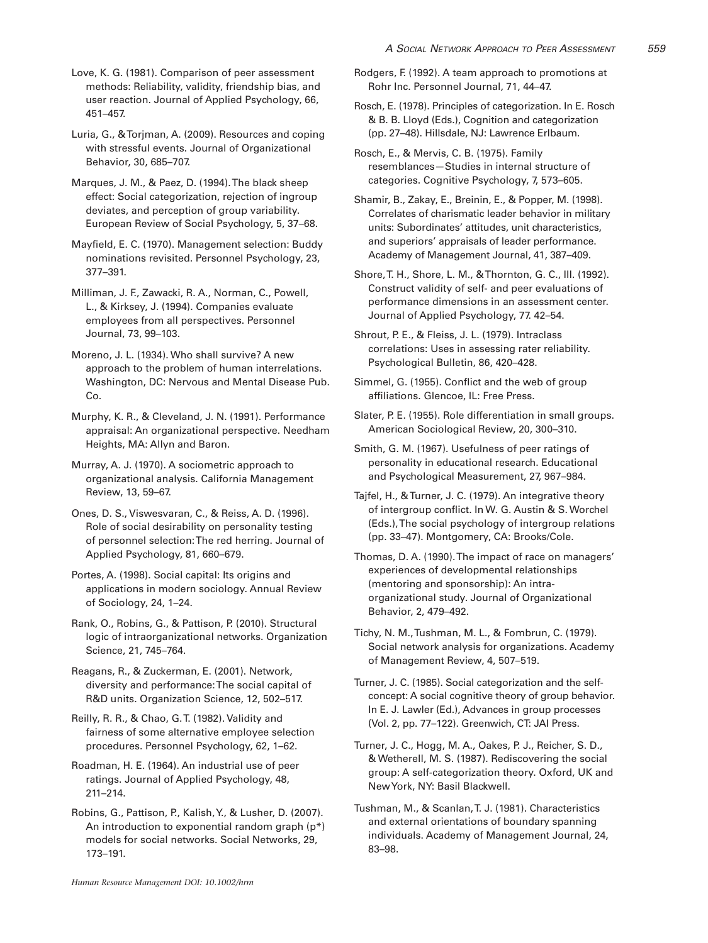Love, K. G. (1981). Comparison of peer assessment methods: Reliability, validity, friendship bias, and user reaction. Journal of Applied Psychology, 66, 451–457.

Luria, G., & Torjman, A. (2009). Resources and coping with stressful events. Journal of Organizational Behavior, 30, 685–707.

Marques, J. M., & Paez, D. (1994). The black sheep effect: Social categorization, rejection of ingroup deviates, and perception of group variability. European Review of Social Psychology, 5, 37–68.

Mayfield, E. C. (1970). Management selection: Buddy nominations revisited. Personnel Psychology, 23, 377–391.

Milliman, J. F., Zawacki, R. A., Norman, C., Powell, L., & Kirksey, J. (1994). Companies evaluate employees from all perspectives. Personnel Journal, 73, 99–103.

Moreno, J. L. (1934). Who shall survive? A new approach to the problem of human interrelations. Washington, DC: Nervous and Mental Disease Pub. Co.

Murphy, K. R., & Cleveland, J. N. (1991). Performance appraisal: An organizational perspective. Needham Heights, MA: Allyn and Baron.

Murray, A. J. (1970). A sociometric approach to organizational analysis. California Management Review, 13, 59–67.

Ones, D. S., Viswesvaran, C., & Reiss, A. D. (1996). Role of social desirability on personality testing of personnel selection: The red herring. Journal of Applied Psychology, 81, 660–679.

Portes, A. (1998). Social capital: Its origins and applications in modern sociology. Annual Review of Sociology, 24, 1–24.

Rank, O., Robins, G., & Pattison, P. (2010). Structural logic of intraorganizational networks. Organization Science, 21, 745–764.

Reagans, R., & Zuckerman, E. (2001). Network, diversity and performance: The social capital of R&D units. Organization Science, 12, 502–517.

Reilly, R. R., & Chao, G. T. (1982). Validity and fairness of some alternative employee selection procedures. Personnel Psychology, 62, 1–62.

Roadman, H. E. (1964). An industrial use of peer ratings. Journal of Applied Psychology, 48, 211–214.

Robins, G., Pattison, P., Kalish, Y., & Lusher, D. (2007). An introduction to exponential random graph (p\*) models for social networks. Social Networks, 29, 173–191.

Rodgers, F. (1992). A team approach to promotions at Rohr Inc. Personnel Journal, 71, 44–47.

Rosch, E. (1978). Principles of categorization. In E. Rosch & B. B. Lloyd (Eds.), Cognition and categorization (pp. 27–48). Hillsdale, NJ: Lawrence Erlbaum.

Rosch, E., & Mervis, C. B. (1975). Family resemblances—Studies in internal structure of categories. Cognitive Psychology, 7, 573–605.

Shamir, B., Zakay, E., Breinin, E., & Popper, M. (1998). Correlates of charismatic leader behavior in military units: Subordinates' attitudes, unit characteristics, and superiors' appraisals of leader performance. Academy of Management Journal, 41, 387–409.

Shore, T. H., Shore, L. M., & Thornton, G. C., III. (1992). Construct validity of self- and peer evaluations of performance dimensions in an assessment center. Journal of Applied Psychology, 77. 42–54.

Shrout, P. E., & Fleiss, J. L. (1979). Intraclass correlations: Uses in assessing rater reliability. Psychological Bulletin, 86, 420–428.

Simmel, G. (1955). Conflict and the web of group affiliations. Glencoe, IL: Free Press.

Slater, P. E. (1955). Role differentiation in small groups. American Sociological Review, 20, 300–310.

Smith, G. M. (1967). Usefulness of peer ratings of personality in educational research. Educational and Psychological Measurement, 27, 967–984.

Tajfel, H., & Turner, J. C. (1979). An integrative theory of intergroup conflict. In W. G. Austin & S. Worchel (Eds.), The social psychology of intergroup relations (pp. 33–47). Montgomery, CA: Brooks/Cole.

Thomas, D. A. (1990). The impact of race on managers' experiences of developmental relationships (mentoring and sponsorship): An intraorganizational study. Journal of Organizational Behavior, 2, 479–492.

Tichy, N. M., Tushman, M. L., & Fombrun, C. (1979). Social network analysis for organizations. Academy of Management Review, 4, 507–519.

Turner, J. C. (1985). Social categorization and the selfconcept: A social cognitive theory of group behavior. In E. J. Lawler (Ed.), Advances in group processes (Vol. 2, pp. 77–122). Greenwich, CT: JAI Press.

Turner, J. C., Hogg, M. A., Oakes, P. J., Reicher, S. D., & Wetherell, M. S. (1987). Rediscovering the social group: A self-categorization theory. Oxford, UK and New York, NY: Basil Blackwell.

Tushman, M., & Scanlan, T. J. (1981). Characteristics and external orientations of boundary spanning individuals. Academy of Management Journal, 24, 83–98.